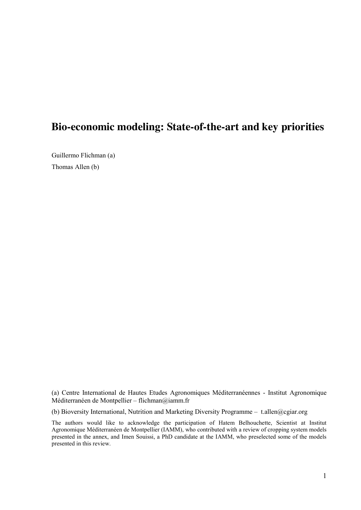# **Bio-economic modeling: State-of-the-art and key priorities**

Guillermo Flichman (a) Thomas Allen (b)

(a) Centre International de Hautes Etudes Agronomiques Méditerranéennes - Institut Agronomique Méditerranéen de Montpellier – flichman@iamm.fr

(b) Bioversity International, Nutrition and Marketing Diversity Programme – t.allen@cgiar.org

The authors would like to acknowledge the participation of Hatem Belhouchette, Scientist at Institut Agronomique Méditerranéen de Montpellier (IAMM), who contributed with a review of cropping system models presented in the annex, and Imen Souissi, a PhD candidate at the IAMM, who preselected some of the models presented in this review.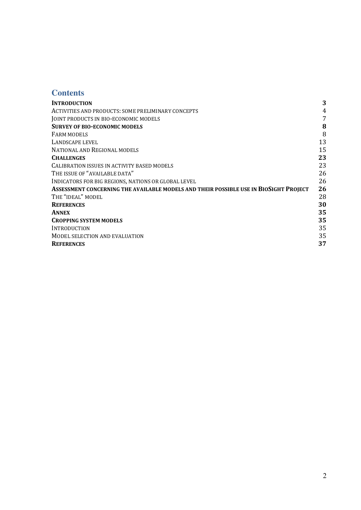# **Contents**

| <b>INTRODUCTION</b>                                                                   | 3  |
|---------------------------------------------------------------------------------------|----|
| ACTIVITIES AND PRODUCTS: SOME PRELIMINARY CONCEPTS                                    | 4  |
| JOINT PRODUCTS IN BIO-ECONOMIC MODELS                                                 | 7  |
| <b>SURVEY OF BIO-ECONOMIC MODELS</b>                                                  | 8  |
| FARM MODELS                                                                           | 8  |
| LANDSCAPE LEVEL                                                                       | 13 |
| NATIONAL AND REGIONAL MODELS                                                          | 15 |
| <b>CHALLENGES</b>                                                                     | 23 |
| CALIBRATION ISSUES IN ACTIVITY BASED MODELS                                           | 23 |
| THE ISSUE OF "AVAILABLE DATA"                                                         | 26 |
| INDICATORS FOR BIG REGIONS, NATIONS OR GLOBAL LEVEL                                   | 26 |
| ASSESSMENT CONCERNING THE AVAILABLE MODELS AND THEIR POSSIBLE USE IN BIOSIGHT PROJECT | 26 |
| THE "IDEAL" MODEL                                                                     | 28 |
| <b>REFERENCES</b>                                                                     | 30 |
| <b>ANNEX</b>                                                                          | 35 |
| <b>CROPPING SYSTEM MODELS</b>                                                         | 35 |
| INTRODUCTION                                                                          | 35 |
| MODEL SELECTION AND EVALUATION                                                        | 35 |
| <b>REFERENCES</b>                                                                     | 37 |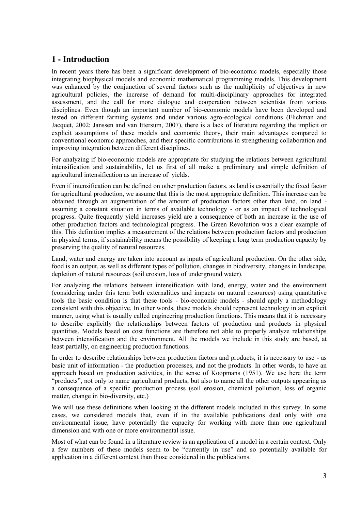# **1 - Introduction**

In recent years there has been a significant development of bio-economic models, especially those integrating biophysical models and economic mathematical programming models. This development was enhanced by the conjunction of several factors such as the multiplicity of objectives in new agricultural policies, the increase of demand for multi-disciplinary approaches for integrated assessment, and the call for more dialogue and cooperation between scientists from various disciplines. Even though an important number of bio-economic models have been developed and tested on different farming systems and under various agro-ecological conditions (Flichman and Jacquet, 2002; Janssen and van Ittersum, 2007), there is a lack of literature regarding the implicit or explicit assumptions of these models and economic theory, their main advantages compared to conventional economic approaches, and their specific contributions in strengthening collaboration and improving integration between different disciplines.

For analyzing if bio-economic models are appropriate for studying the relations between agricultural intensification and sustainability, let us first of all make a preliminary and simple definition of agricultural intensification as an increase of yields.

Even if intensification can be defined on other production factors, as land is essentially the fixed factor for agricultural production, we assume that this is the most appropriate definition. This increase can be obtained through an augmentation of the amount of production factors other than land, on land assuming a constant situation in terms of available technology - or as an impact of technological progress. Quite frequently yield increases yield are a consequence of both an increase in the use of other production factors and technological progress. The Green Revolution was a clear example of this. This definition implies a measurement of the relations between production factors and production in physical terms, if sustainability means the possibility of keeping a long term production capacity by preserving the quality of natural resources.

Land, water and energy are taken into account as inputs of agricultural production. On the other side, food is an output, as well as different types of pollution, changes in biodiversity, changes in landscape, depletion of natural resources (soil erosion, loss of underground water).

For analyzing the relations between intensification with land, energy, water and the environment (considering under this term both externalities and impacts on natural resources) using quantitative tools the basic condition is that these tools - bio-economic models - should apply a methodology consistent with this objective. In other words, these models should represent technology in an explicit manner, using what is usually called engineering production functions. This means that it is necessary to describe explicitly the relationships between factors of production and products in physical quantities. Models based on cost functions are therefore not able to properly analyze relationships between intensification and the environment. All the models we include in this study are based, at least partially, on engineering production functions.

In order to describe relationships between production factors and products, it is necessary to use - as basic unit of information - the production processes, and not the products. In other words, to have an approach based on production activities, in the sense of Koopmans (1951). We use here the term "products", not only to name agricultural products, but also to name all the other outputs appearing as a consequence of a specific production process (soil erosion, chemical pollution, loss of organic matter, change in bio-diversity, etc.)

We will use these definitions when looking at the different models included in this survey. In some cases, we considered models that, even if in the available publications deal only with one environmental issue, have potentially the capacity for working with more than one agricultural dimension and with one or more environmental issue.

Most of what can be found in a literature review is an application of a model in a certain context. Only a few numbers of these models seem to be "currently in use" and so potentially available for application in a different context than those considered in the publications.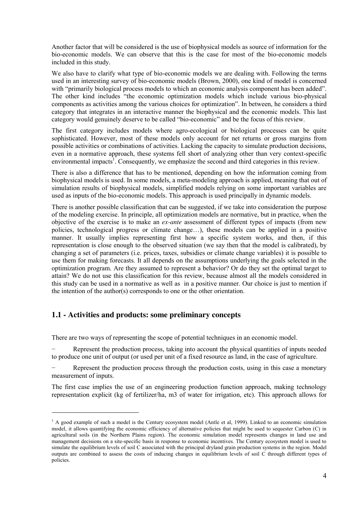Another factor that will be considered is the use of biophysical models as source of information for the bio-economic models. We can observe that this is the case for most of the bio-economic models included in this study.

We also have to clarify what type of bio-economic models we are dealing with. Following the terms used in an interesting survey of bio-economic models (Brown, 2000), one kind of model is concerned with "primarily biological process models to which an economic analysis component has been added". The other kind includes "the economic optimization models which include various bio-physical components as activities among the various choices for optimization". In between, he considers a third category that integrates in an interactive manner the biophysical and the economic models. This last category would genuinely deserve to be called "bio-economic" and be the focus of this review.

The first category includes models where agro-ecological or biological processes can be quite sophisticated. However, most of these models only account for net returns or gross margins from possible activities or combinations of activities. Lacking the capacity to simulate production decisions, even in a normative approach, these systems fell short of analyzing other than very context-specific environmental impacts<sup>1</sup>. Consequently, we emphasize the second and third categories in this review.

There is also a difference that has to be mentioned, depending on how the information coming from biophysical models is used. In some models, a meta-modeling approach is applied, meaning that out of simulation results of biophysical models, simplified models relying on some important variables are used as inputs of the bio-economic models. This approach is used principally in dynamic models.

There is another possible classification that can be suggested, if we take into consideration the purpose of the modeling exercise. In principle, all optimization models are normative, but in practice, when the objective of the exercise is to make an *ex-ante* assessment of different types of impacts (from new policies, technological progress or climate change…), these models can be applied in a positive manner. It usually implies representing first how a specific system works, and then, if this representation is close enough to the observed situation (we say then that the model is calibrated), by changing a set of parameters (i.e. prices, taxes, subsidies or climate change variables) it is possible to use them for making forecasts. It all depends on the assumptions underlying the goals selected in the optimization program. Are they assumed to represent a behavior? Or do they set the optimal target to attain? We do not use this classification for this review, because almost all the models considered in this study can be used in a normative as well as in a positive manner. Our choice is just to mention if the intention of the author(s) corresponds to one or the other orientation.

## **1.1 - Activities and products: some preliminary concepts**

1

There are two ways of representing the scope of potential techniques in an economic model.

Represent the production process, taking into account the physical quantities of inputs needed to produce one unit of output (or used per unit of a fixed resource as land, in the case of agriculture.

Represent the production process through the production costs, using in this case a monetary measurement of inputs.

The first case implies the use of an engineering production function approach, making technology representation explicit (kg of fertilizer/ha, m3 of water for irrigation, etc). This approach allows for

 $<sup>1</sup>$  A good example of such a model is the Century ecosystem model (Antle et al, 1999). Linked to an economic simulation</sup> model, it allows quantifying the economic efficiency of alternative policies that might be used to sequester Carbon (C) in agricultural soils (in the Northern Plains region). The economic simulation model represents changes in land use and management decisions on a site-specific basis in response to economic incentives. The Century ecosystem model is used to simulate the equilibrium levels of soil C associated with the principal dryland grain production systems in the region. Model outputs are combined to assess the costs of inducing changes in equilibrium levels of soil C through different types of policies.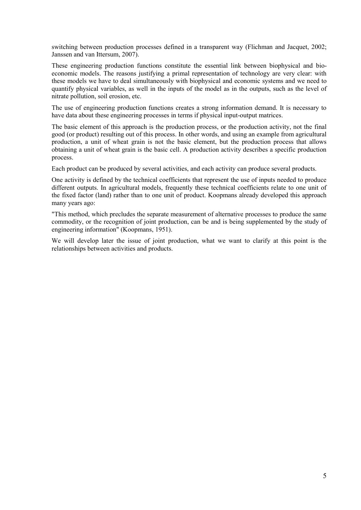switching between production processes defined in a transparent way (Flichman and Jacquet, 2002; Janssen and van Ittersum, 2007).

These engineering production functions constitute the essential link between biophysical and bioeconomic models. The reasons justifying a primal representation of technology are very clear: with these models we have to deal simultaneously with biophysical and economic systems and we need to quantify physical variables, as well in the inputs of the model as in the outputs, such as the level of nitrate pollution, soil erosion, etc.

The use of engineering production functions creates a strong information demand. It is necessary to have data about these engineering processes in terms if physical input-output matrices.

The basic element of this approach is the production process, or the production activity, not the final good (or product) resulting out of this process. In other words, and using an example from agricultural production, a unit of wheat grain is not the basic element, but the production process that allows obtaining a unit of wheat grain is the basic cell. A production activity describes a specific production process.

Each product can be produced by several activities, and each activity can produce several products.

One activity is defined by the technical coefficients that represent the use of inputs needed to produce different outputs. In agricultural models, frequently these technical coefficients relate to one unit of the fixed factor (land) rather than to one unit of product. Koopmans already developed this approach many years ago:

"This method, which precludes the separate measurement of alternative processes to produce the same commodity, or the recognition of joint production, can be and is being supplemented by the study of engineering information" (Koopmans, 1951).

We will develop later the issue of joint production, what we want to clarify at this point is the relationships between activities and products.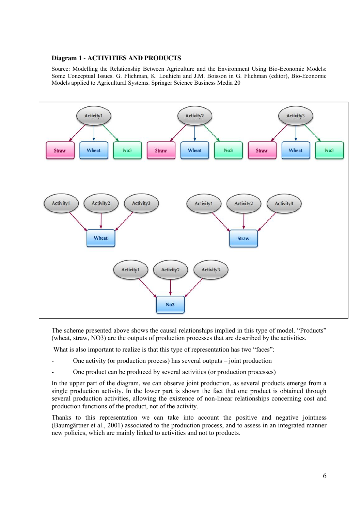#### **Diagram 1 - ACTIVITIES AND PRODUCTS**

Source: Modelling the Relationship Between Agriculture and the Environment Using Bio-Economic Models: Some Conceptual Issues. G. Flichman, K. Louhichi and J.M. Boisson in G. Flichman (editor), Bio-Economic Models applied to Agricultural Systems. Springer Science Business Media 20



The scheme presented above shows the causal relationships implied in this type of model. "Products" (wheat, straw, NO3) are the outputs of production processes that are described by the activities.

What is also important to realize is that this type of representation has two "faces":

- One activity (or production process) has several outputs  $-$  joint production
- One product can be produced by several activities (or production processes)

In the upper part of the diagram, we can observe joint production, as several products emerge from a single production activity. In the lower part is shown the fact that one product is obtained through several production activities, allowing the existence of non-linear relationships concerning cost and production functions of the product, not of the activity.

Thanks to this representation we can take into account the positive and negative jointness (Baumgärtner et al., 2001) associated to the production process, and to assess in an integrated manner new policies, which are mainly linked to activities and not to products.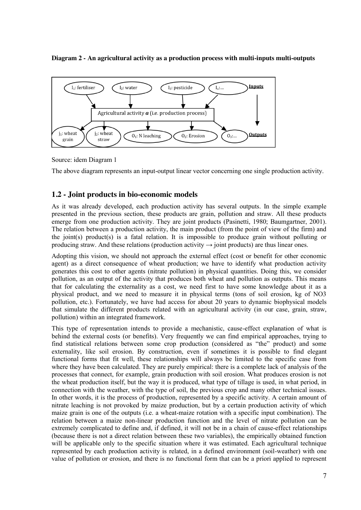#### **Diagram 2 - An agricultural activity as a production process with multi-inputs multi-outputs**



Source: idem Diagram 1

The above diagram represents an input-output linear vector concerning one single production activity.

## **1.2 - Joint products in bio-economic models**

As it was already developed, each production activity has several outputs. In the simple example presented in the previous section, these products are grain, pollution and straw. All these products emerge from one production activity. They are joint products (Pasinetti, 1980; Baumgartner, 2001). The relation between a production activity, the main product (from the point of view of the firm) and the joint(s) product(s) is a fatal relation. It is impossible to produce grain without polluting or producing straw. And these relations (production activity  $\rightarrow$  joint products) are thus linear ones.

Adopting this vision, we should not approach the external effect (cost or benefit for other economic agent) as a direct consequence of wheat production; we have to identify what production activity generates this cost to other agents (nitrate pollution) in physical quantities. Doing this, we consider pollution, as an output of the activity that produces both wheat and pollution as outputs. This means that for calculating the externality as a cost, we need first to have some knowledge about it as a physical product, and we need to measure it in physical terms (tons of soil erosion, kg of NO3 pollution, etc.). Fortunately, we have had access for about 20 years to dynamic biophysical models that simulate the different products related with an agricultural activity (in our case, grain, straw, pollution) within an integrated framework.

This type of representation intends to provide a mechanistic, cause-effect explanation of what is behind the external costs (or benefits). Very frequently we can find empirical approaches, trying to find statistical relations between some crop production (considered as "the" product) and some externality, like soil erosion. By construction, even if sometimes it is possible to find elegant functional forms that fit well, these relationships will always be limited to the specific case from where they have been calculated. They are purely empirical: there is a complete lack of analysis of the processes that connect, for example, grain production with soil erosion. What produces erosion is not the wheat production itself, but the way it is produced, what type of tillage is used, in what period, in connection with the weather, with the type of soil, the previous crop and many other technical issues. In other words, it is the process of production, represented by a specific activity. A certain amount of nitrate leaching is not provoked by maize production, but by a certain production activity of which maize grain is one of the outputs (i.e. a wheat-maize rotation with a specific input combination). The relation between a maize non-linear production function and the level of nitrate pollution can be extremely complicated to define and, if defined, it will not be in a chain of cause-effect relationships (because there is not a direct relation between these two variables), the empirically obtained function will be applicable only to the specific situation where it was estimated. Each agricultural technique represented by each production activity is related, in a defined environment (soil-weather) with one value of pollution or erosion, and there is no functional form that can be a priori applied to represent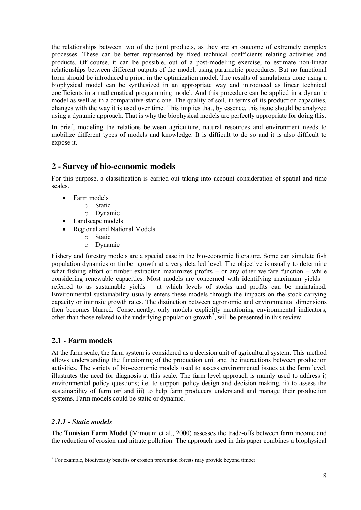the relationships between two of the joint products, as they are an outcome of extremely complex processes. These can be better represented by fixed technical coefficients relating activities and products. Of course, it can be possible, out of a post-modeling exercise, to estimate non-linear relationships between different outputs of the model, using parametric procedures. But no functional form should be introduced a priori in the optimization model. The results of simulations done using a biophysical model can be synthesized in an appropriate way and introduced as linear technical coefficients in a mathematical programming model. And this procedure can be applied in a dynamic model as well as in a comparative-static one. The quality of soil, in terms of its production capacities, changes with the way it is used over time. This implies that, by essence, this issue should be analyzed using a dynamic approach. That is why the biophysical models are perfectly appropriate for doing this.

In brief, modeling the relations between agriculture, natural resources and environment needs to mobilize different types of models and knowledge. It is difficult to do so and it is also difficult to expose it.

## **2 - Survey of bio-economic models**

For this purpose, a classification is carried out taking into account consideration of spatial and time scales.

- Farm models
	- o Static
	- o Dynamic
- Landscape models
- Regional and National Models
	- o Static
	- o Dynamic

Fishery and forestry models are a special case in the bio-economic literature. Some can simulate fish population dynamics or timber growth at a very detailed level. The objective is usually to determine what fishing effort or timber extraction maximizes profits – or any other welfare function – while considering renewable capacities. Most models are concerned with identifying maximum yields – referred to as sustainable yields – at which levels of stocks and profits can be maintained. Environmental sustainability usually enters these models through the impacts on the stock carrying capacity or intrinsic growth rates. The distinction between agronomic and environmental dimensions then becomes blurred. Consequently, only models explicitly mentioning environmental indicators, other than those related to the underlying population growth<sup>2</sup>, will be presented in this review.

## **2.1 - Farm models**

At the farm scale, the farm system is considered as a decision unit of agricultural system. This method allows understanding the functioning of the production unit and the interactions between production activities. The variety of bio-economic models used to assess environmental issues at the farm level, illustrates the need for diagnosis at this scale. The farm level approach is mainly used to address i) environmental policy questions; i.e. to support policy design and decision making, ii) to assess the sustainability of farm or/ and iii) to help farm producers understand and manage their production systems. Farm models could be static or dynamic.

## *2.1.1 - Static models*

-

The **Tunisian Farm Model** (Mimouni et al., 2000) assesses the trade-offs between farm income and the reduction of erosion and nitrate pollution. The approach used in this paper combines a biophysical

<sup>&</sup>lt;sup>2</sup> For example, biodiversity benefits or erosion prevention forests may provide beyond timber.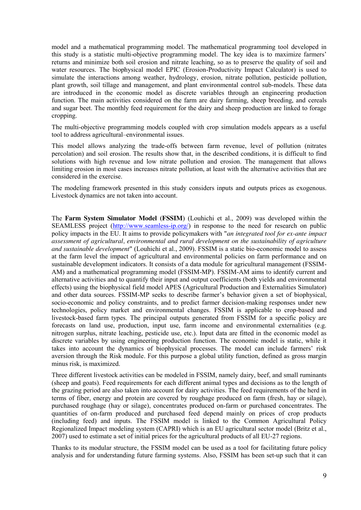model and a mathematical programming model. The mathematical programming tool developed in this study is a statistic multi-objective programming model. The key idea is to maximize farmers' returns and minimize both soil erosion and nitrate leaching, so as to preserve the quality of soil and water resources. The biophysical model EPIC (Erosion-Productivity Impact Calculator) is used to simulate the interactions among weather, hydrology, erosion, nitrate pollution, pesticide pollution, plant growth, soil tillage and management, and plant environmental control sub-models. These data are introduced in the economic model as discrete variables through an engineering production function. The main activities considered on the farm are dairy farming, sheep breeding, and cereals and sugar beet. The monthly feed requirement for the dairy and sheep production are linked to forage cropping.

The multi-objective programming models coupled with crop simulation models appears as a useful tool to address agricultural–environmental issues.

This model allows analyzing the trade-offs between farm revenue, level of pollution (nitrates percolation) and soil erosion. The results show that, in the described conditions, it is difficult to find solutions with high revenue and low nitrate pollution and erosion. The management that allows limiting erosion in most cases increases nitrate pollution, at least with the alternative activities that are considered in the exercise.

The modeling framework presented in this study considers inputs and outputs prices as exogenous. Livestock dynamics are not taken into account.

The **Farm System Simulator Model (FSSIM**) (Louhichi et al., 2009) was developed within the SEAMLESS project [\(http://www.seamless-ip.org/\)](http://www.seamless-ip.org/) in response to the need for research on public policy impacts in the EU. It aims to provide policymakers with "*an integrated tool for ex-ante impact assessment of agricultural, environmental and rural development on the sustainability of agriculture and sustainable development*" (Louhichi et al., 2009). FSSIM is a static bio-economic model to assess at the farm level the impact of agricultural and environmental policies on farm performance and on sustainable development indicators. It consists of a data module for agricultural management (FSSIM-AM) and a mathematical programming model (FSSIM-MP). FSSIM-AM aims to identify current and alternative activities and to quantify their input and output coefficients (both yields and environmental effects) using the biophysical field model APES (Agricultural Production and Externalities Simulator) and other data sources. FSSIM-MP seeks to describe farmer's behavior given a set of biophysical, socio-economic and policy constraints, and to predict farmer decision-making responses under new technologies, policy market and environmental changes. FSSIM is applicable to crop-based and livestock-based farm types. The principal outputs generated from FSSIM for a specific policy are forecasts on land use, production, input use, farm income and environmental externalities (e.g. nitrogen surplus, nitrate leaching, pesticide use, etc.). Input data are fitted in the economic model as discrete variables by using engineering production function. The economic model is static, while it takes into account the dynamics of biophysical processes. The model can include farmers' risk aversion through the Risk module. For this purpose a global utility function, defined as gross margin minus risk, is maximized.

Three different livestock activities can be modeled in FSSIM, namely dairy, beef, and small ruminants (sheep and goats). Feed requirements for each different animal types and decisions as to the length of the grazing period are also taken into account for dairy activities. The feed requirements of the herd in terms of fiber, energy and protein are covered by roughage produced on farm (fresh, hay or silage), purchased roughage (hay or silage), concentrates produced on-farm or purchased concentrates. The quantities of on-farm produced and purchased feed depend mainly on prices of crop products (including feed) and inputs. The FSSIM model is linked to the Common Agricultural Policy Regionalized Impact modeling system (CAPRI) which is an EU agricultural sector model (Britz et al., 2007) used to estimate a set of initial prices for the agricultural products of all EU-27 regions.

Thanks to its modular structure, the FSSIM model can be used as a tool for facilitating future policy analysis and for understanding future farming systems. Also, FSSIM has been set-up such that it can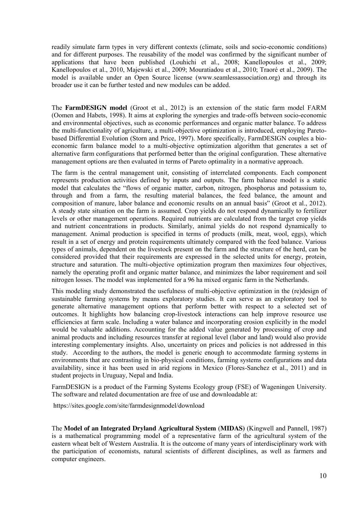readily simulate farm types in very different contexts (climate, soils and socio-economic conditions) and for different purposes. The reusability of the model was confirmed by the significant number of applications that have been published (Louhichi et al., 2008; Kanellopoulos et al., 2009; Kanellopoulos et al., 2010, Majewski et al., 2009; Mouratiadou et al., 2010; Traoré et al., 2009). The model is available under an Open Source license (www.seamlessassociation.org) and through its broader use it can be further tested and new modules can be added.

The **FarmDESIGN model** (Groot et al., 2012) is an extension of the static farm model FARM (Oomen and Habets, 1998). It aims at exploring the synergies and trade-offs between socio-economic and environmental objectives, such as economic performances and organic matter balance. To address the multi-functionality of agriculture, a multi-objective optimization is introduced, employing Paretobased Differential Evolution (Storn and Price, 1997). More specifically, FarmDESIGN couples a bioeconomic farm balance model to a multi-objective optimization algorithm that generates a set of alternative farm configurations that performed better than the original configuration. These alternative management options are then evaluated in terms of Pareto optimality in a normative approach.

The farm is the central management unit, consisting of interrelated components. Each component represents production activities defined by inputs and outputs. The farm balance model is a static model that calculates the "flows of organic matter, carbon, nitrogen, phosphorus and potassium to, through and from a farm, the resulting material balances, the feed balance, the amount and composition of manure, labor balance and economic results on an annual basis" (Groot et al., 2012). A steady state situation on the farm is assumed. Crop yields do not respond dynamically to fertilizer levels or other management operations. Required nutrients are calculated from the target crop yields and nutrient concentrations in products. Similarly, animal yields do not respond dynamically to management. Animal production is specified in terms of products (milk, meat, wool, eggs), which result in a set of energy and protein requirements ultimately compared with the feed balance. Various types of animals, dependent on the livestock present on the farm and the structure of the herd, can be considered provided that their requirements are expressed in the selected units for energy, protein, structure and saturation. The multi-objective optimization program then maximizes four objectives, namely the operating profit and organic matter balance, and minimizes the labor requirement and soil nitrogen losses. The model was implemented for a 96 ha mixed organic farm in the Netherlands.

This modeling study demonstrated the usefulness of multi-objective optimization in the (re)design of sustainable farming systems by means exploratory studies. It can serve as an exploratory tool to generate alternative management options that perform better with respect to a selected set of outcomes. It highlights how balancing crop-livestock interactions can help improve resource use efficiencies at farm scale. Including a water balance and incorporating erosion explicitly in the model would be valuable additions. Accounting for the added value generated by processing of crop and animal products and including resources transfer at regional level (labor and land) would also provide interesting complementary insights. Also, uncertainty on prices and policies is not addressed in this study. According to the authors, the model is generic enough to accommodate farming systems in environments that are contrasting in bio-physical conditions, farming systems configurations and data availability, since it has been used in arid regions in Mexico (Flores-Sanchez et al., 2011) and in student projects in Uruguay, Nepal and India.

FarmDESIGN is a product of the Farming Systems Ecology group (FSE) of Wageningen University. The software and related documentation are free of use and downloadable at:

<https://sites.google.com/site/farmdesignmodel/download>

The **Model of an Integrated Dryland Agricultural System** (**MIDAS)** (Kingwell and Pannell, 1987) is a mathematical programming model of a representative farm of the agricultural system of the eastern wheat belt of Western Australia. It is the outcome of many years of interdisciplinary work with the participation of economists, natural scientists of different disciplines, as well as farmers and computer engineers.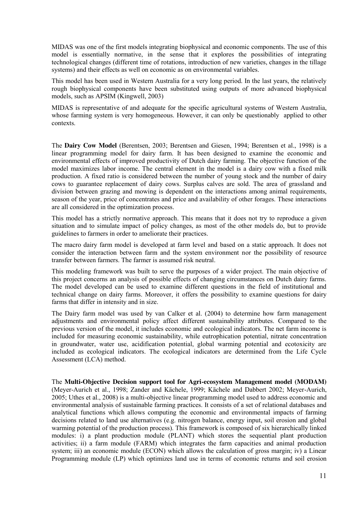MIDAS was one of the first models integrating biophysical and economic components. The use of this model is essentially normative, in the sense that it explores the possibilities of integrating technological changes (different time of rotations, introduction of new varieties, changes in the tillage systems) and their effects as well on economic as on environmental variables.

This model has been used in Western Australia for a very long period. In the last years, the relatively rough biophysical components have been substituted using outputs of more advanced biophysical models, such as APSIM (Kingwell, 2003)

MIDAS is representative of and adequate for the specific agricultural systems of Western Australia, whose farming system is very homogeneous. However, it can only be questionably applied to other contexts.

The **Dairy Cow Model** (Berentsen, 2003; Berentsen and Giesen, 1994; Berentsen et al., 1998) is a linear programming model for dairy farm. It has been designed to examine the economic and environmental effects of improved productivity of Dutch dairy farming. The objective function of the model maximizes labor income. The central element in the model is a dairy cow with a fixed milk production. A fixed ratio is considered between the number of young stock and the number of dairy cows to guarantee replacement of dairy cows. Surplus calves are sold. The area of grassland and division between grazing and mowing is dependent on the interactions among animal requirements, season of the year, price of concentrates and price and availability of other forages. These interactions are all considered in the optimization process.

This model has a strictly normative approach. This means that it does not try to reproduce a given situation and to simulate impact of policy changes, as most of the other models do, but to provide guidelines to farmers in order to ameliorate their practices.

The macro dairy farm model is developed at farm level and based on a static approach. It does not consider the interaction between farm and the system environment nor the possibility of resource transfer between farmers. The farmer is assumed risk neutral.

This modeling framework was built to serve the purposes of a wider project. The main objective of this project concerns an analysis of possible effects of changing circumstances on Dutch dairy farms. The model developed can be used to examine different questions in the field of institutional and technical change on dairy farms. Moreover, it offers the possibility to examine questions for dairy farms that differ in intensity and in size.

The Dairy farm model was used by van Calker et al. (2004) to determine how farm management adjustments and environmental policy affect different sustainability attributes. Compared to the previous version of the model, it includes economic and ecological indicators. The net farm income is included for measuring economic sustainability, while eutrophication potential, nitrate concentration in groundwater, water use, acidification potential, global warming potential and ecotoxicity are included as ecological indicators. The ecological indicators are determined from the Life Cycle Assessment (LCA) method.

The **Multi-Objective Decision support tool for Agri-ecosystem Management model (MODAM)** (Meyer-Aurich et al., 1998; Zander and Kächele, 1999; Kächele and Dabbert 2002; Meyer-Aurich, 2005; Uthes et al., 2008) is a multi-objective linear programming model used to address economic and environmental analysis of sustainable farming practices. It consists of a set of relational databases and analytical functions which allows computing the economic and environmental impacts of farming decisions related to land use alternatives (e.g. nitrogen balance, energy input, soil erosion and global warming potential of the production process). This framework is composed of six hierarchically linked modules: i) a plant production module (PLANT) which stores the sequential plant production activities; ii) a farm module (FARM) which integrates the farm capacities and animal production system; iii) an economic module (ECON) which allows the calculation of gross margin; iv) a Linear Programming module (LP) which optimizes land use in terms of economic returns and soil erosion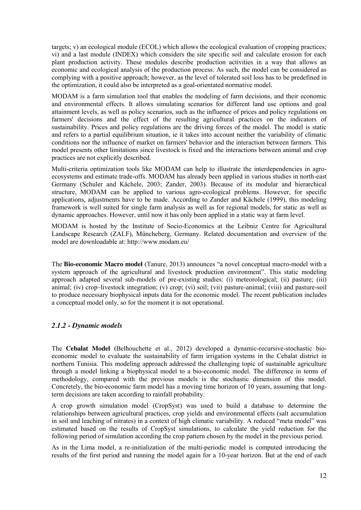targets; v) an ecological module (ECOL) which allows the ecological evaluation of cropping practices; vi) and a last module (INDEX) which considers the site specific soil and calculate erosion for each plant production activity. These modules describe production activities in a way that allows an economic and ecological analysis of the production process. As such, the model can be considered as complying with a positive approach; however, as the level of tolerated soil loss has to be predefined in the optimization, it could also be interpreted as a goal-orientated normative model.

MODAM is a farm simulation tool that enables the modeling of farm decisions, and their economic and environmental effects. It allows simulating scenarios for different land use options and goal attainment levels, as well as policy scenarios, such as the influence of prices and policy regulations on farmers' decisions and the effect of the resulting agricultural practices on the indicators of sustainability. Prices and policy regulations are the driving forces of the model. The model is static and refers to a partial equilibrium situation, ie it takes into account neither the variability of climatic conditions nor the influence of market on farmers' behavior and the interaction between farmers. This model presents other limitations since livestock is fixed and the interactions between animal and crop practices are not explicitly described.

Multi-criteria optimization tools like MODAM can help to illustrate the interdependencies in agroecosystems and estimate trade-offs. MODAM has already been applied in various studies in north-east Germany (Schuler and Kächele, 2003; Zander, 2003). Because of its modular and hierarchical structure, MODAM can be applied to various agro-ecological problems. However, for specific applications, adjustments have to be made. According to Zander and Kächele (1999), this modeling framework is well suited for single farm analysis as well as for regional models, for static as well as dynamic approaches. However, until now it has only been applied in a static way at farm level.

MODAM is hosted by the Institute of Socio-Economics at the Leibniz Centre for Agricultural Landscape Research (ZALF), Müncheberg, Germany. Related documentation and overview of the model are downloadable at[: http://www.modam.eu/](http://www.modam.eu/)

The **Bio-economic Macro model** (Tanure, 2013) announces "a novel conceptual macro-model with a system approach of the agricultural and livestock production environment". This static modeling approach adapted several sub-models of pre-existing studies: (i) meteorological; (ii) pasture; (iii) animal; (iv) crop–livestock integration; (v) crop; (vi) soil; (vii) pasture-animal; (viii) and pasture-soil to produce necessary biophysical inputs data for the economic model. The recent publication includes a conceptual model only, so for the moment it is not operational.

## *2.1.2 - Dynamic models*

The **Cebalat Model (**Belhouchette et al., 2012) developed a dynamic-recursive-stochastic bioeconomic model to evaluate the sustainability of farm irrigation systems in the Cebalat district in northern Tunisia. This modeling approach addressed the challenging topic of sustainable agriculture through a model linking a biophysical model to a bio-economic model. The difference in terms of methodology, compared with the previous models is the stochastic dimension of this model. Concretely, the bio-economic farm model has a moving time horizon of 10 years, assuming that longterm decisions are taken according to rainfall probability.

A crop growth simulation model (CropSyst) was used to build a database to determine the relationships between agricultural practices, crop yields and environmental effects (salt accumulation in soil and leaching of nitrates) in a context of high climatic variability. A reduced "meta model" was estimated based on the results of CropSyst simulations, to calculate the yield reduction for the following period of simulation according the crop pattern chosen by the model in the previous period.

As in the Lima model, a re-initialization of the multi-periodic model is computed introducing the results of the first period and running the model again for a 10-year horizon. But at the end of each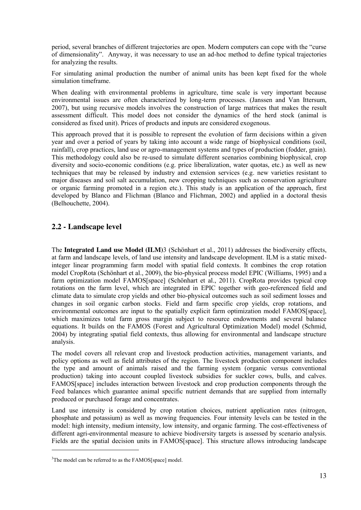period, several branches of different trajectories are open. Modern computers can cope with the "curse of dimensionality". Anyway, it was necessary to use an ad-hoc method to define typical trajectories for analyzing the results.

For simulating animal production the number of animal units has been kept fixed for the whole simulation timeframe.

When dealing with environmental problems in agriculture, time scale is very important because environmental issues are often characterized by long-term processes. (Janssen and Van Ittersum, 2007), but using recursive models involves the construction of large matrices that makes the result assessment difficult. This model does not consider the dynamics of the herd stock (animal is considered as fixed unit). Prices of products and inputs are considered exogenous.

This approach proved that it is possible to represent the evolution of farm decisions within a given year and over a period of years by taking into account a wide range of biophysical conditions (soil, rainfall), crop practices, land use or agro-management systems and types of production (fodder, grain). This methodology could also be re-used to simulate different scenarios combining biophysical, crop diversity and socio-economic conditions (e.g. price liberalization, water quotas, etc.) as well as new techniques that may be released by industry and extension services (e.g. new varieties resistant to major diseases and soil salt accumulation, new cropping techniques such as conservation agriculture or organic farming promoted in a region etc.). This study is an application of the approach, first developed by Blanco and Flichman (Blanco and Flichman, 2002) and applied in a doctoral thesis (Belhouchette, 2004).

## **2.2 - Landscape level**

The **Integrated Land use Model (ILM)**3 (Schönhart et al., 2011) addresses the biodiversity effects, at farm and landscape levels, of land use intensity and landscape development. ILM is a static mixedinteger linear programming farm model with spatial field contexts. It combines the crop rotation model CropRota (Schönhart et al., 2009), the bio-physical process model EPIC (Williams, 1995) and a farm optimization model FAMOS[space] (Schönhart et al., 2011). CropRota provides typical crop rotations on the farm level, which are integrated in EPIC together with geo-referenced field and climate data to simulate crop yields and other bio-physical outcomes such as soil sediment losses and changes in soil organic carbon stocks. Field and farm specific crop yields, crop rotations, and environmental outcomes are input to the spatially explicit farm optimization model FAMOS[space], which maximizes total farm gross margin subject to resource endowments and several balance equations. It builds on the FAMOS (Forest and Agricultural Optimization Model) model (Schmid, 2004) by integrating spatial field contexts, thus allowing for environmental and landscape structure analysis.

The model covers all relevant crop and livestock production activities, management variants, and policy options as well as field attributes of the region. The livestock production component includes the type and amount of animals raised and the farming system (organic versus conventional production) taking into account coupled livestock subsidies for suckler cows, bulls, and calves. FAMOS[space] includes interaction between livestock and crop production components through the Feed balances which guarantee animal specific nutrient demands that are supplied from internally produced or purchased forage and concentrates.

Land use intensity is considered by crop rotation choices, nutrient application rates (nitrogen, phosphate and potassium) as well as mowing frequencies. Four intensity levels can be tested in the model: high intensity, medium intensity, low intensity, and organic farming. The cost-effectiveness of different agri-environmental measure to achieve biodiversity targets is assessed by scenario analysis. Fields are the spatial decision units in FAMOS[space]. This structure allows introducing landscape

-

<sup>&</sup>lt;sup>3</sup>The model can be referred to as the FAMOS[space] model.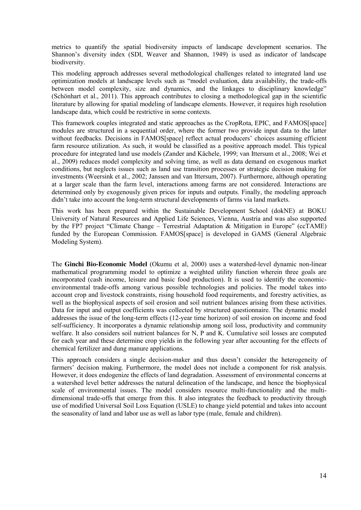metrics to quantify the spatial biodiversity impacts of landscape development scenarios. The Shannon's diversity index (SDI, Weaver and Shannon, 1949) is used as indicator of landscape biodiversity.

This modeling approach addresses several methodological challenges related to integrated land use optimization models at landscape levels such as "model evaluation, data availability, the trade-offs between model complexity, size and dynamics, and the linkages to disciplinary knowledge" (Schönhart et al., 2011). This approach contributes to closing a methodological gap in the scientific literature by allowing for spatial modeling of landscape elements. However, it requires high resolution landscape data, which could be restrictive in some contexts.

This framework couples integrated and static approaches as the CropRota, EPIC, and FAMOS[space] modules are structured in a sequential order, where the former two provide input data to the latter without feedbacks. Decisions in FAMOS[space] reflect actual producers' choices assuming efficient farm resource utilization. As such, it would be classified as a positive approach model. This typical procedure for integrated land use models (Zander and Kächele, 1999; van Ittersum et al., 2008; Wei et al., 2009) reduces model complexity and solving time, as well as data demand on exogenous market conditions, but neglects issues such as land use transition processes or strategic decision making for investments (Weersink et al., 2002; Janssen and van Ittersum, 2007). Furthermore, although operating at a larger scale than the farm level, interactions among farms are not considered. Interactions are determined only by exogenously given prices for inputs and outputs. Finally, the modeling approach didn't take into account the long-term structural developments of farms via land markets.

This work has been prepared within the Sustainable Development School (dokNE) at BOKU University of Natural Resources and Applied Life Sciences, Vienna, Austria and was also supported by the FP7 project "Climate Change – Terrestrial Adaptation & Mitigation in Europe" (ccTAME) funded by the European Commission. FAMOS[space] is developed in GAMS (General Algebraic Modeling System).

The **Ginchi Bio-Economic Model** (Okumu et al, 2000) uses a watershed-level dynamic non-linear mathematical programming model to optimize a weighted utility function wherein three goals are incorporated (cash income, leisure and basic food production). It is used to identify the economicenvironmental trade-offs among various possible technologies and policies. The model takes into account crop and livestock constraints, rising household food requirements, and forestry activities, as well as the biophysical aspects of soil erosion and soil nutrient balances arising from these activities. Data for input and output coefficients was collected by structured questionnaire. The dynamic model addresses the issue of the long-term effects (12-year time horizon) of soil erosion on income and food self-sufficiency. It incorporates a dynamic relationship among soil loss, productivity and community welfare. It also considers soil nutrient balances for N, P and K. Cumulative soil losses are computed for each year and these determine crop yields in the following year after accounting for the effects of chemical fertilizer and dung manure applications.

This approach considers a single decision-maker and thus doesn't consider the heterogeneity of farmers' decision making. Furthermore, the model does not include a component for risk analysis. However, it does endogenize the effects of land degradation. Assessment of environmental concerns at a watershed level better addresses the natural delineation of the landscape, and hence the biophysical scale of environmental issues. The model considers resource multi-functionality and the multidimensional trade-offs that emerge from this. It also integrates the feedback to productivity through use of modified Universal Soil Loss Equation (USLE) to change yield potential and takes into account the seasonality of land and labor use as well as labor type (male, female and children).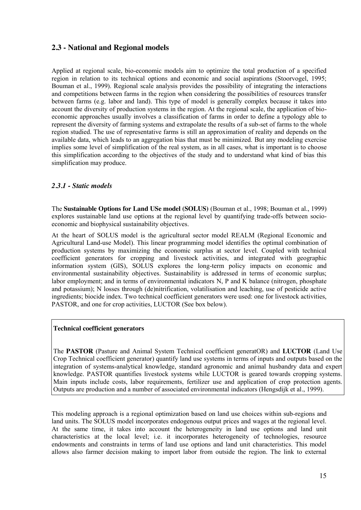## **2.3 - National and Regional models**

Applied at regional scale, bio-economic models aim to optimize the total production of a specified region in relation to its technical options and economic and social aspirations (Stoorvogel, 1995; Bouman et al., 1999). Regional scale analysis provides the possibility of integrating the interactions and competitions between farms in the region when considering the possibilities of resources transfer between farms (e.g. labor and land). This type of model is generally complex because it takes into account the diversity of production systems in the region. At the regional scale, the application of bioeconomic approaches usually involves a classification of farms in order to define a typology able to represent the diversity of farming systems and extrapolate the results of a sub-set of farms to the whole region studied. The use of representative farms is still an approximation of reality and depends on the available data, which leads to an aggregation bias that must be minimized. But any modeling exercise implies some level of simplification of the real system, as in all cases, what is important is to choose this simplification according to the objectives of the study and to understand what kind of bias this simplification may produce.

#### *2.3.1 - Static models*

The **Sustainable Options for Land USe model (SOLUS)** (Bouman et al., 1998; Bouman et al., 1999) explores sustainable land use options at the regional level by quantifying trade-offs between socioeconomic and biophysical sustainability objectives.

At the heart of SOLUS model is the agricultural sector model REALM (Regional Economic and Agricultural Land-use Model). This linear programming model identifies the optimal combination of production systems by maximizing the economic surplus at sector level. Coupled with technical coefficient generators for cropping and livestock activities, and integrated with geographic information system (GIS), SOLUS explores the long-term policy impacts on economic and environmental sustainability objectives. Sustainability is addressed in terms of economic surplus; labor employment; and in terms of environmental indicators N, P and K balance (nitrogen, phosphate and potassium); N losses through (de)nitrification, volatilisation and leaching, use of pesticide active ingredients; biocide index. Two technical coefficient generators were used: one for livestock activities, PASTOR, and one for crop activities, LUCTOR (See box below).

#### **Technical coefficient generators**

The **PASTOR** (Pasture and Animal System Technical coefficient generatOR) and **LUCTOR** (Land Use Crop Technical coefficient generator) quantify land use systems in terms of inputs and outputs based on the integration of systems-analytical knowledge, standard agronomic and animal husbandry data and expert knowledge. PASTOR quantifies livestock systems while LUCTOR is geared towards cropping systems. Main inputs include costs, labor requirements, fertilizer use and application of crop protection agents. Outputs are production and a number of associated environmental indicators (Hengsdijk et al., 1999).

This modeling approach is a regional optimization based on land use choices within sub-regions and land units. The SOLUS model incorporates endogenous output prices and wages at the regional level. At the same time, it takes into account the heterogeneity in land use options and land unit characteristics at the local level; i.e. it incorporates heterogeneity of technologies, resource endowments and constraints in terms of land use options and land unit characteristics. This model allows also farmer decision making to import labor from outside the region. The link to external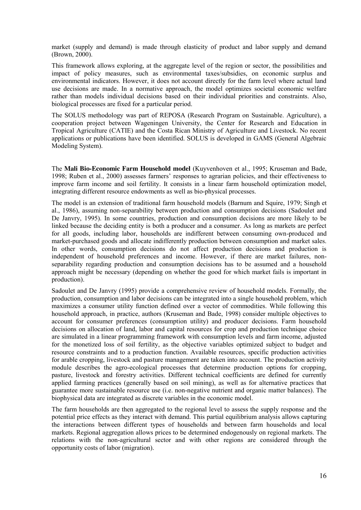market (supply and demand) is made through elasticity of product and labor supply and demand (Brown, 2000).

This framework allows exploring, at the aggregate level of the region or sector, the possibilities and impact of policy measures, such as environmental taxes/subsidies, on economic surplus and environmental indicators. However, it does not account directly for the farm level where actual land use decisions are made. In a normative approach, the model optimizes societal economic welfare rather than models individual decisions based on their individual priorities and constraints. Also, biological processes are fixed for a particular period.

The SOLUS methodology was part of REPOSA (Research Program on Sustainable. Agriculture), a cooperation project between Wageningen University, the Center for Research and Education in Tropical Agriculture (CATIE) and the Costa Rican Ministry of Agriculture and Livestock. No recent applications or publications have been identified. SOLUS is developed in GAMS (General Algebraic Modeling System).

The **Mali Bio-Economic Farm Household model** (Kuyvenhoven et al., 1995; Kruseman and Bade, 1998; Ruben et al., 2000) assesses farmers' responses to agrarian policies, and their effectiveness to improve farm income and soil fertility. It consists in a linear farm household optimization model, integrating different resource endowments as well as bio-physical processes.

The model is an extension of traditional farm household models (Barnum and Squire, 1979; Singh et al., 1986), assuming non-separability between production and consumption decisions (Sadoulet and De Janvry, 1995). In some countries, production and consumption decisions are more likely to be linked because the deciding entity is both a producer and a consumer. As long as markets are perfect for all goods, including labor, households are indifferent between consuming own-produced and market-purchased goods and allocate indifferently production between consumption and market sales. In other words, consumption decisions do not affect production decisions and production is independent of household preferences and income. However, if there are market failures, nonseparability regarding production and consumption decisions has to be assumed and a household approach might be necessary (depending on whether the good for which market fails is important in production).

Sadoulet and De Janvry (1995) provide a comprehensive review of household models. Formally, the production, consumption and labor decisions can be integrated into a single household problem, which maximizes a consumer utility function defined over a vector of commodities. While following this household approach, in practice, authors (Kruseman and Bade, 1998) consider multiple objectives to account for consumer preferences (consumption utility) and producer decisions. Farm household decisions on allocation of land, labor and capital resources for crop and production technique choice are simulated in a linear programming framework with consumption levels and farm income, adjusted for the monetized loss of soil fertility, as the objective variables optimized subject to budget and resource constraints and to a production function. Available resources, specific production activities for arable cropping, livestock and pasture management are taken into account. The production activity module describes the agro-ecological processes that determine production options for cropping, pasture, livestock and forestry activities. Different technical coefficients are defined for currently applied farming practices (generally based on soil mining), as well as for alternative practices that guarantee more sustainable resource use (i.e. non-negative nutrient and organic matter balances). The biophysical data are integrated as discrete variables in the economic model.

The farm households are then aggregated to the regional level to assess the supply response and the potential price effects as they interact with demand. This partial equilibrium analysis allows capturing the interactions between different types of households and between farm households and local markets. Regional aggregation allows prices to be determined endogenously on regional markets. The relations with the non-agricultural sector and with other regions are considered through the opportunity costs of labor (migration).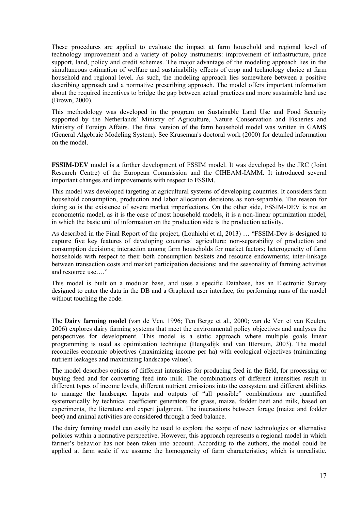These procedures are applied to evaluate the impact at farm household and regional level of technology improvement and a variety of policy instruments: improvement of infrastructure, price support, land, policy and credit schemes. The major advantage of the modeling approach lies in the simultaneous estimation of welfare and sustainability effects of crop and technology choice at farm household and regional level. As such, the modeling approach lies somewhere between a positive describing approach and a normative prescribing approach. The model offers important information about the required incentives to bridge the gap between actual practices and more sustainable land use (Brown, 2000).

This methodology was developed in the program on Sustainable Land Use and Food Security supported by the Netherlands' Ministry of Agriculture, Nature Conservation and Fisheries and Ministry of Foreign Affairs. The final version of the farm household model was written in GAMS (General Algebraic Modeling System). See Kruseman's doctoral work (2000) for detailed information on the model.

**FSSIM-DEV** model is a further development of FSSIM model. It was developed by the JRC (Joint Research Centre) of the European Commission and the CIHEAM-IAMM. It introduced several important changes and improvements with respect to FSSIM.

This model was developed targeting at agricultural systems of developing countries. It considers farm household consumption, production and labor allocation decisions as non-separable. The reason for doing so is the existence of severe market imperfections. On the other side, FSSIM-DEV is not an econometric model, as it is the case of most household models, it is a non-linear optimization model, in which the basic unit of information on the production side is the production activity.

As described in the Final Report of the project, (Louhichi et al, 2013) … "FSSIM-Dev is designed to capture five key features of developing countries' agriculture: non-separability of production and consumption decisions; interaction among farm households for market factors; heterogeneity of farm households with respect to their both consumption baskets and resource endowments; inter-linkage between transaction costs and market participation decisions; and the seasonality of farming activities and resource use…."

This model is built on a modular base, and uses a specific Database, has an Electronic Survey designed to enter the data in the DB and a Graphical user interface, for performing runs of the model without touching the code.

The **Dairy farming model** (van de Ven, 1996; Ten Berge et al., 2000; van de Ven et van Keulen, 2006) explores dairy farming systems that meet the environmental policy objectives and analyses the perspectives for development. This model is a static approach where multiple goals linear programming is used as optimization technique (Hengsdijk and van Ittersum, 2003). The model reconciles economic objectives (maximizing income per ha) with ecological objectives (minimizing nutrient leakages and maximizing landscape values).

The model describes options of different intensities for producing feed in the field, for processing or buying feed and for converting feed into milk. The combinations of different intensities result in different types of income levels, different nutrient emissions into the ecosystem and different abilities to manage the landscape. Inputs and outputs of "all possible" combinations are quantified systematically by technical coefficient generators for grass, maize, fodder beet and milk, based on experiments, the literature and expert judgment. The interactions between forage (maize and fodder beet) and animal activities are considered through a feed balance.

The dairy farming model can easily be used to explore the scope of new technologies or alternative policies within a normative perspective. However, this approach represents a regional model in which farmer's behavior has not been taken into account. According to the authors, the model could be applied at farm scale if we assume the homogeneity of farm characteristics; which is unrealistic.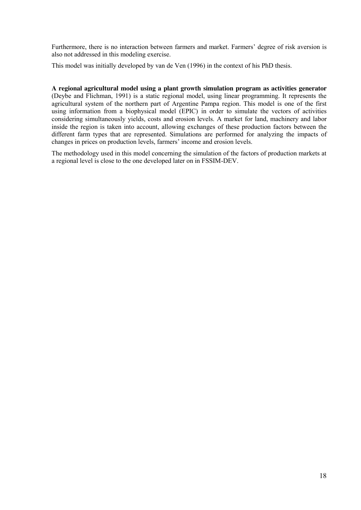Furthermore, there is no interaction between farmers and market. Farmers' degree of risk aversion is also not addressed in this modeling exercise.

This model was initially developed by van de Ven (1996) in the context of his PhD thesis.

**A regional agricultural model using a plant growth simulation program as activities generator** (Deybe and Flichman, 1991) is a static regional model, using linear programming. It represents the agricultural system of the northern part of Argentine Pampa region. This model is one of the first using information from a biophysical model (EPIC) in order to simulate the vectors of activities considering simultaneously yields, costs and erosion levels. A market for land, machinery and labor inside the region is taken into account, allowing exchanges of these production factors between the different farm types that are represented. Simulations are performed for analyzing the impacts of changes in prices on production levels, farmers' income and erosion levels.

The methodology used in this model concerning the simulation of the factors of production markets at a regional level is close to the one developed later on in FSSIM-DEV.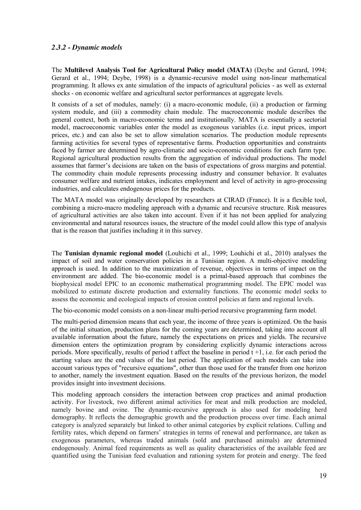### *2.3.2 - Dynamic models*

The **Multilevel Analysis Tool for Agricultural Policy model (MATA)** (Deybe and Gerard, 1994; Gerard et al., 1994; Deybe, 1998) is a dynamic-recursive model using non-linear mathematical programming. It allows ex ante simulation of the impacts of agricultural policies - as well as external shocks - on economic welfare and agricultural sector performances at aggregate levels.

It consists of a set of modules, namely: (i) a macro-economic module, (ii) a production or farming system module, and (iii) a commodity chain module. The macroeconomic module describes the general context, both in macro-economic terms and institutionally. MATA is essentially a sectorial model, macroeconomic variables enter the model as exogenous variables (i.e. input prices, import prices, etc.) and can also be set to allow simulation scenarios. The production module represents farming activities for several types of representative farms. Production opportunities and constraints faced by farmer are determined by agro-climatic and socio-economic conditions for each farm type. Regional agricultural production results from the aggregation of individual productions. The model assumes that farmer's decisions are taken on the basis of expectations of gross margins and potential. The commodity chain module represents processing industry and consumer behavior. It evaluates consumer welfare and nutrient intakes, indicates employment and level of activity in agro-processing industries, and calculates endogenous prices for the products.

The MATA model was originally developed by researchers at CIRAD (France). It is a flexible tool, combining a micro-macro modeling approach with a dynamic and recursive structure. Risk measures of agricultural activities are also taken into account. Even if it has not been applied for analyzing environmental and natural resources issues, the structure of the model could allow this type of analysis that is the reason that justifies including it in this survey.

The **Tunisian dynamic regional model** (Louhichi et al., 1999; Louhichi et al., 2010) analyses the impact of soil and water conservation policies in a Tunisian region. A multi-objective modeling approach is used. In addition to the maximization of revenue, objectives in terms of impact on the environment are added. The bio-economic model is a primal-based approach that combines the biophysical model EPIC to an economic mathematical programming model. The EPIC model was mobilized to estimate discrete production and externality functions. The economic model seeks to assess the economic and ecological impacts of erosion control policies at farm and regional levels.

The bio-economic model consists on a non-linear multi-period recursive programming farm model.

The multi-period dimension means that each year, the income of three years is optimized. On the basis of the initial situation, production plans for the coming years are determined, taking into account all available information about the future, namely the expectations on prices and yields. The recursive dimension enters the optimization program by considering explicitly dynamic interactions across periods. More specifically, results of period t affect the baseline in period t +1, i.e. for each period the starting values are the end values of the last period. The application of such models can take into account various types of "recursive equations", other than those used for the transfer from one horizon to another, namely the investment equation. Based on the results of the previous horizon, the model provides insight into investment decisions.

This modeling approach considers the interaction between crop practices and animal production activity. For livestock, two different animal activities for meat and milk production are modeled, namely bovine and ovine. The dynamic-recursive approach is also used for modeling herd demography. It reflects the demographic growth and the production process over time. Each animal category is analyzed separately but linked to other animal categories by explicit relations. Culling and fertility rates, which depend on farmers' strategies in terms of renewal and performance, are taken as exogenous parameters, whereas traded animals (sold and purchased animals) are determined endogenously. Animal feed requirements as well as quality characteristics of the available feed are quantified using the Tunisian feed evaluation and rationing system for protein and energy. The feed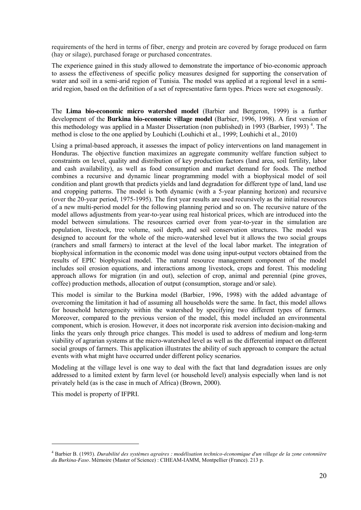requirements of the herd in terms of fiber, energy and protein are covered by forage produced on farm (hay or silage), purchased forage or purchased concentrates.

The experience gained in this study allowed to demonstrate the importance of bio-economic approach to assess the effectiveness of specific policy measures designed for supporting the conservation of water and soil in a semi-arid region of Tunisia. The model was applied at a regional level in a semiarid region, based on the definition of a set of representative farm types. Prices were set exogenously.

The **Lima bio-economic micro watershed model** (Barbier and Bergeron, 1999) is a further development of the **Burkina bio-economic village model** (Barbier, 1996, 1998). A first version of this methodology was applied in a Master Dissertation (non published) in 1993 (Barbier, 1993)<sup>4</sup>. The method is close to the one applied by Louhichi (Louhichi et al., 1999; Louhichi et al., 2010)

Using a primal-based approach, it assesses the impact of policy interventions on land management in Honduras. The objective function maximizes an aggregate community welfare function subject to constraints on level, quality and distribution of key production factors (land area, soil fertility, labor and cash availability), as well as food consumption and market demand for foods. The method combines a recursive and dynamic linear programming model with a biophysical model of soil condition and plant growth that predicts yields and land degradation for different type of land, land use and cropping patterns. The model is both dynamic (with a 5-year planning horizon) and recursive (over the 20-year period, 1975-1995). The first year results are used recursively as the initial resources of a new multi-period model for the following planning period and so on. The recursive nature of the model allows adjustments from year-to-year using real historical prices, which are introduced into the model between simulations. The resources carried over from year-to-year in the simulation are population, livestock, tree volume, soil depth, and soil conservation structures. The model was designed to account for the whole of the micro-watershed level but it allows the two social groups (ranchers and small farmers) to interact at the level of the local labor market. The integration of biophysical information in the economic model was done using input-output vectors obtained from the results of EPIC biophysical model. The natural resource management component of the model includes soil erosion equations, and interactions among livestock, crops and forest. This modeling approach allows for migration (in and out), selection of crop, animal and perennial (pine groves, coffee) production methods, allocation of output (consumption, storage and/or sale).

This model is similar to the Burkina model (Barbier, 1996, 1998) with the added advantage of overcoming the limitation it had of assuming all households were the same. In fact, this model allows for household heterogeneity within the watershed by specifying two different types of farmers. Moreover, compared to the previous version of the model, this model included an environmental component, which is erosion. However, it does not incorporate risk aversion into decision-making and links the years only through price changes. This model is used to address of medium and long-term viability of agrarian systems at the micro-watershed level as well as the differential impact on different social groups of farmers. This application illustrates the ability of such approach to compare the actual events with what might have occurred under different policy scenarios.

Modeling at the village level is one way to deal with the fact that land degradation issues are only addressed to a limited extent by farm level (or household level) analysis especially when land is not privately held (as is the case in much of Africa) (Brown, 2000).

This model is property of IFPRI.

1

<sup>4</sup> Barbier B. (1993). *Durabilité des systèmes agraires : modélisation technico-économique d'un village de la zone cotonnière du Burkina-Faso.* Mémoire (Master of Science) : CIHEAM-IAMM, Montpellier (France). 213 p.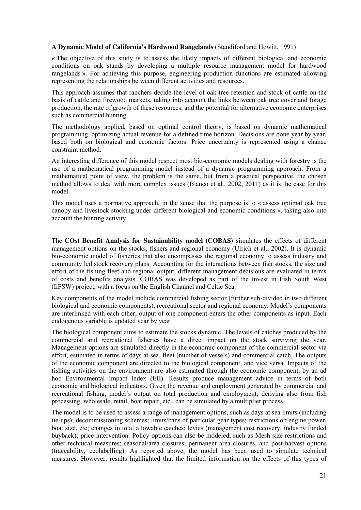#### **A Dynamic Model of California's Hardwood Rangelands** (Standiford and Howitt, 1991)

« The objective of this study is to assess the likely impacts of different biological and economic conditions on oak stands by developing a multiple resource management model for hardwood rangelands ». For achieving this purpose, engineering production functions are estimated allowing representing the relationships between different activities and resources.

This approach assumes that ranchers decide the level of oak tree retention and stock of cattle on the basis of cattle and firewood markets, taking into account the links between oak tree cover and forage production, the rate of growth of these resources, and the potential for alternative economic enterprises such as commercial hunting.

The methodology applied, based on optimal control theory, is based on dynamic mathematical programming, optimizing actual revenue for a defined time horizon. Decisions are done year by year, based both on biological and economic factors. Price uncertainty is represented using a chance constraint method.

An interesting difference of this model respect most bio-economic models dealing with forestry is the use of a mathematical programming model instead of a dynamic programming approach. From a mathematical point of view, the problem is the same, but from a practical perspective, the chosen method allows to deal with more complex issues (Blanco et al., 2002, 2011) as it is the case for this model.

This model uses a normative approach, in the sense that the purpose is to « assess optimal oak tree canopy and livestock stocking under different biological and economic conditions », taking also into account the hunting activity.

The **COst Benefit Analysis for Sustainability model (COBAS)** simulates the effects of different management options on the stocks, fishers and regional economy (Ulrich et al., 2002). It is dynamic bio-economic model of fisheries that also encompasses the regional economy to assess industry and community led stock recovery plans. Accounting for the interactions between fish stocks, the size and effort of the fishing fleet and regional output, different management decisions are evaluated in terms of costs and benefits analysis. COBAS was developed as part of the Invest in Fish South West (IiFSW) project, with a focus on the English Channel and Celtic Sea.

Key components of the model include commercial fishing sector (further sub-divided in two different biological and economic components), recreational sector and regional economy. Model's components are interlinked with each other; output of one component enters the other components as input. Each endogenous variable is updated year by year.

The biological component aims to estimate the stocks dynamic. The levels of catches produced by the commercial and recreational fisheries have a direct impact on the stock surviving the year. Management options are simulated directly in the economic component of the commercial sector via effort, estimated in terms of days at sea, fleet (number of vessels) and commercial catch. The outputs of the economic component are directed to the biological component, and vice versa. Impacts of the fishing activities on the environment are also estimated through the economic component, by an ad hoc Environmental Impact Index (EII). Results produce management advice in terms of both economic and biological indicators. Given the revenue and employment generated by commercial and recreational fishing, model's output on total production and employment, deriving also from fish processing, wholesale, retail, boat repair, etc., can be simulated by a multiplier process.

The model is to be used to assess a range of management options, such as days at sea limits (including tie-ups); decommissioning schemes; limits/bans of particular gear types; restrictions on engine power, boat size, etc; changes in total allowable catches; levies (management cost recovery, industry funded buyback); price intervention. Policy options can also be modeled, such as Mesh size restrictions and other technical measures; seasonal/area closures; permanent area closures, and post-harvest options (traceability, ecolabelling). As reported above, the model has been used to simulate technical measures. However, results highlighted that the limited information on the effects of this types of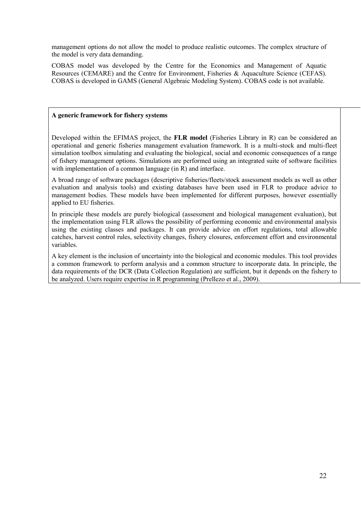management options do not allow the model to produce realistic outcomes. The complex structure of the model is very data demanding.

COBAS model was developed by the Centre for the Economics and Management of Aquatic Resources (CEMARE) and the Centre for Environment, Fisheries & Aquaculture Science (CEFAS). COBAS is developed in GAMS (General Algebraic Modeling System). COBAS code is not available.

#### **A generic framework for fishery systems**

Developed within the EFIMAS project, the **FLR model** (Fisheries Library in R) can be considered an operational and generic fisheries management evaluation framework. It is a multi-stock and multi-fleet simulation toolbox simulating and evaluating the biological, social and economic consequences of a range of fishery management options. Simulations are performed using an integrated suite of software facilities with implementation of a common language (in R) and interface.

A broad range of software packages (descriptive fisheries/fleets/stock assessment models as well as other evaluation and analysis tools) and existing databases have been used in FLR to produce advice to management bodies. These models have been implemented for different purposes, however essentially applied to EU fisheries.

In principle these models are purely biological (assessment and biological management evaluation), but the implementation using FLR allows the possibility of performing economic and environmental analysis using the existing classes and packages. It can provide advice on effort regulations, total allowable catches, harvest control rules, selectivity changes, fishery closures, enforcement effort and environmental variables.

A key element is the inclusion of uncertainty into the biological and economic modules. This tool provides a common framework to perform analysis and a common structure to incorporate data. In principle, the data requirements of the DCR (Data Collection Regulation) are sufficient, but it depends on the fishery to be analyzed. Users require expertise in R programming (Prellezo et al., 2009).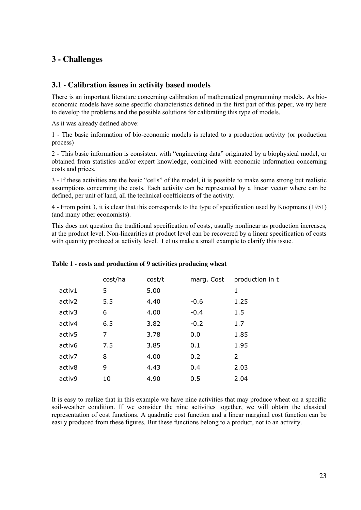# **3 - Challenges**

### **3.1 - Calibration issues in activity based models**

There is an important literature concerning calibration of mathematical programming models. As bioeconomic models have some specific characteristics defined in the first part of this paper, we try here to develop the problems and the possible solutions for calibrating this type of models.

As it was already defined above:

1 - The basic information of bio-economic models is related to a production activity (or production process)

2 - This basic information is consistent with "engineering data" originated by a biophysical model, or obtained from statistics and/or expert knowledge, combined with economic information concerning costs and prices.

3 - If these activities are the basic "cells" of the model, it is possible to make some strong but realistic assumptions concerning the costs. Each activity can be represented by a linear vector where can be defined, per unit of land, all the technical coefficients of the activity.

4 - From point 3, it is clear that this corresponds to the type of specification used by Koopmans (1951) (and many other economists).

This does not question the traditional specification of costs, usually nonlinear as production increases, at the product level. Non-linearities at product level can be recovered by a linear specification of costs with quantity produced at activity level. Let us make a small example to clarify this issue.

|                    | cost/ha | cost/t | marg. Cost | production in t |
|--------------------|---------|--------|------------|-----------------|
| activ1             | 5       | 5.00   |            | 1               |
| activ2             | 5.5     | 4.40   | $-0.6$     | 1.25            |
| activ3             | 6       | 4.00   | $-0.4$     | 1.5             |
| activ4             | 6.5     | 3.82   | $-0.2$     | 1.7             |
| activ <sub>5</sub> | 7       | 3.78   | 0.0        | 1.85            |
| activ6             | 7.5     | 3.85   | 0.1        | 1.95            |
| activ7             | 8       | 4.00   | 0.2        | $\mathcal{P}$   |
| activ8             | 9       | 4.43   | 0.4        | 2.03            |
| activ9             | 10      | 4.90   | 0.5        | 2.04            |

#### **Table 1 - costs and production of 9 activities producing wheat**

It is easy to realize that in this example we have nine activities that may produce wheat on a specific soil-weather condition. If we consider the nine activities together, we will obtain the classical representation of cost functions. A quadratic cost function and a linear marginal cost function can be easily produced from these figures. But these functions belong to a product, not to an activity.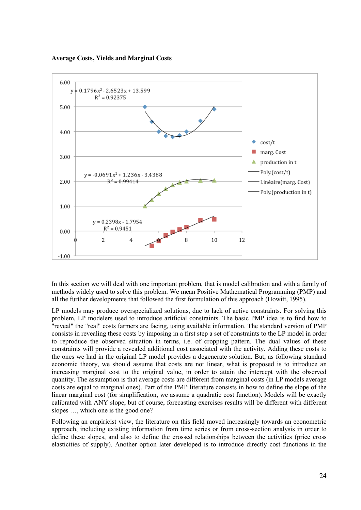**Average Costs, Yields and Marginal Costs**



In this section we will deal with one important problem, that is model calibration and with a family of methods widely used to solve this problem. We mean Positive Mathematical Programming (PMP) and all the further developments that followed the first formulation of this approach (Howitt, 1995).

LP models may produce overspecialized solutions, due to lack of active constraints. For solving this problem, LP modelers used to introduce artificial constraints. The basic PMP idea is to find how to "reveal" the "real" costs farmers are facing, using available information. The standard version of PMP consists in revealing these costs by imposing in a first step a set of constraints to the LP model in order to reproduce the observed situation in terms, i.e. of cropping pattern. The dual values of these constraints will provide a revealed additional cost associated with the activity. Adding these costs to the ones we had in the original LP model provides a degenerate solution. But, as following standard economic theory, we should assume that costs are not linear, what is proposed is to introduce an increasing marginal cost to the original value, in order to attain the intercept with the observed quantity. The assumption is that average costs are different from marginal costs (in LP models average costs are equal to marginal ones). Part of the PMP literature consists in how to define the slope of the linear marginal cost (for simplification, we assume a quadratic cost function). Models will be exactly calibrated with ANY slope, but of course, forecasting exercises results will be different with different slopes …, which one is the good one?

Following an empiricist view, the literature on this field moved increasingly towards an econometric approach, including existing information from time series or from cross-section analysis in order to define these slopes, and also to define the crossed relationships between the activities (price cross elasticities of supply). Another option later developed is to introduce directly cost functions in the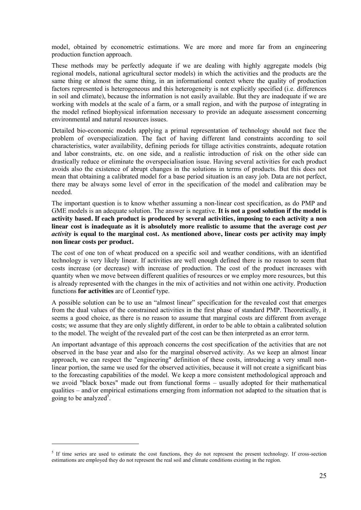model, obtained by econometric estimations. We are more and more far from an engineering production function approach.

These methods may be perfectly adequate if we are dealing with highly aggregate models (big regional models, national agricultural sector models) in which the activities and the products are the same thing or almost the same thing, in an informational context where the quality of production factors represented is heterogeneous and this heterogeneity is not explicitly specified (i.e. differences in soil and climate), because the information is not easily available. But they are inadequate if we are working with models at the scale of a farm, or a small region, and with the purpose of integrating in the model refined biophysical information necessary to provide an adequate assessment concerning environmental and natural resources issues.

Detailed bio-economic models applying a primal representation of technology should not face the problem of overspecialization. The fact of having different land constraints according to soil characteristics, water availability, defining periods for tillage activities constraints, adequate rotation and labor constraints, etc. on one side, and a realistic introduction of risk on the other side can drastically reduce or eliminate the overspecialisation issue. Having several activities for each product avoids also the existence of abrupt changes in the solutions in terms of products. But this does not mean that obtaining a calibrated model for a base period situation is an easy job. Data are not perfect, there may be always some level of error in the specification of the model and calibration may be needed.

The important question is to know whether assuming a non-linear cost specification, as do PMP and GME models is an adequate solution. The answer is negative. **It is not a good solution if the model is activity based. If each product is produced by several activities, imposing to each activity a non linear cost is inadequate as it is absolutely more realistic to assume that the average cost** *per activity* **is equal to the marginal cost. As mentioned above, linear costs per activity may imply non linear costs per product.**

The cost of one ton of wheat produced on a specific soil and weather conditions, with an identified technology is very likely linear. If activities are well enough defined there is no reason to seem that costs increase (or decrease) with increase of production. The cost of the product increases with quantity when we move between different qualities of resources or we employ more resources, but this is already represented with the changes in the mix of activities and not within one activity. Production functions **for activities** are of Leontief type.

A possible solution can be to use an "almost linear" specification for the revealed cost that emerges from the dual values of the constrained activities in the first phase of standard PMP. Theoretically, it seems a good choice, as there is no reason to assume that marginal costs are different from average costs; we assume that they are only slightly different, in order to be able to obtain a calibrated solution to the model. The weight of the revealed part of the cost can be then interpreted as an error term.

An important advantage of this approach concerns the cost specification of the activities that are not observed in the base year and also for the marginal observed activity. As we keep an almost linear approach, we can respect the "engineering" definition of these costs, introducing a very small nonlinear portion, the same we used for the observed activities, because it will not create a significant bias to the forecasting capabilities of the model. We keep a more consistent methodological approach and we avoid "black boxes" made out from functional forms – usually adopted for their mathematical qualities – and/or empirical estimations emerging from information not adapted to the situation that is going to be analyzed<sup>5</sup>.

1

<sup>&</sup>lt;sup>5</sup> If time series are used to estimate the cost functions, they do not represent the present technology. If cross-section estimations are employed they do not represent the real soil and climate conditions existing in the region.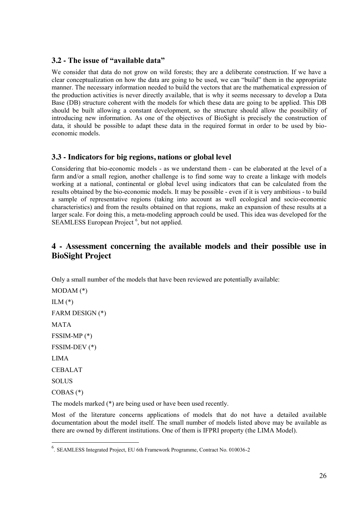## **3.2 - The issue of "available data"**

We consider that data do not grow on wild forests; they are a deliberate construction. If we have a clear conceptualization on how the data are going to be used, we can "build" them in the appropriate manner. The necessary information needed to build the vectors that are the mathematical expression of the production activities is never directly available, that is why it seems necessary to develop a Data Base (DB) structure coherent with the models for which these data are going to be applied. This DB should be built allowing a constant development, so the structure should allow the possibility of introducing new information. As one of the objectives of BioSight is precisely the construction of data, it should be possible to adapt these data in the required format in order to be used by bioeconomic models.

## **3.3 - Indicators for big regions, nations or global level**

Considering that bio-economic models - as we understand them - can be elaborated at the level of a farm and/or a small region, another challenge is to find some way to create a linkage with models working at a national, continental or global level using indicators that can be calculated from the results obtained by the bio-economic models. It may be possible - even if it is very ambitious - to build a sample of representative regions (taking into account as well ecological and socio-economic characteristics) and from the results obtained on that regions, make an expansion of these results at a larger scale. For doing this, a meta-modeling approach could be used. This idea was developed for the SEAMLESS European Project<sup>6</sup>, but not applied.

# **4 - Assessment concerning the available models and their possible use in BioSight Project**

Only a small number of the models that have been reviewed are potentially available:

MODAM (\*)  $ILM (*)$ FARM DESIGN (\*) MATA FSSIM-MP (\*) FSSIM-DEV (\*) LIMA CEBALAT SOLUS COBAS (\*)

The models marked (\*) are being used or have been used recently.

Most of the literature concerns applications of models that do not have a detailed available documentation about the model itself. The small number of models listed above may be available as there are owned by different institutions. One of them is IFPRI property (the LIMA Model).

 $\frac{1}{6}$ . SEAMLESS Integrated Project, EU 6th Framework Programme, Contract No. 010036-2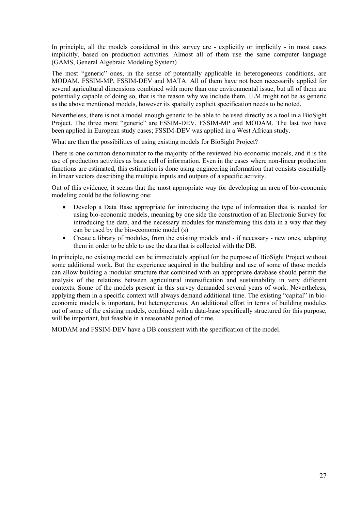In principle, all the models considered in this survey are - explicitly or implicitly - in most cases implicitly, based on production activities. Almost all of them use the same computer language (GAMS, General Algebraic Modeling System)

The most "generic" ones, in the sense of potentially applicable in heterogeneous conditions, are MODAM, FSSIM-MP, FSSIM-DEV and MATA. All of them have not been necessarily applied for several agricultural dimensions combined with more than one environmental issue, but all of them are potentially capable of doing so, that is the reason why we include them. ILM might not be as generic as the above mentioned models, however its spatially explicit specification needs to be noted.

Nevertheless, there is not a model enough generic to be able to be used directly as a tool in a BioSight Project. The three more "generic" are FSSIM-DEV, FSSIM-MP and MODAM. The last two have been applied in European study cases; FSSIM-DEV was applied in a West African study.

What are then the possibilities of using existing models for BioSight Project?

There is one common denominator to the majority of the reviewed bio-economic models, and it is the use of production activities as basic cell of information. Even in the cases where non-linear production functions are estimated, this estimation is done using engineering information that consists essentially in linear vectors describing the multiple inputs and outputs of a specific activity.

Out of this evidence, it seems that the most appropriate way for developing an area of bio-economic modeling could be the following one:

- Develop a Data Base appropriate for introducing the type of information that is needed for using bio-economic models, meaning by one side the construction of an Electronic Survey for introducing the data, and the necessary modules for transforming this data in a way that they can be used by the bio-economic model (s)
- Create a library of modules, from the existing models and if necessary new ones, adapting them in order to be able to use the data that is collected with the DB.

In principle, no existing model can be immediately applied for the purpose of BioSight Project without some additional work. But the experience acquired in the building and use of some of those models can allow building a modular structure that combined with an appropriate database should permit the analysis of the relations between agricultural intensification and sustainability in very different contexts. Some of the models present in this survey demanded several years of work. Nevertheless, applying them in a specific context will always demand additional time. The existing "capital" in bioeconomic models is important, but heterogeneous. An additional effort in terms of building modules out of some of the existing models, combined with a data-base specifically structured for this purpose, will be important, but feasible in a reasonable period of time.

MODAM and FSSIM-DEV have a DB consistent with the specification of the model.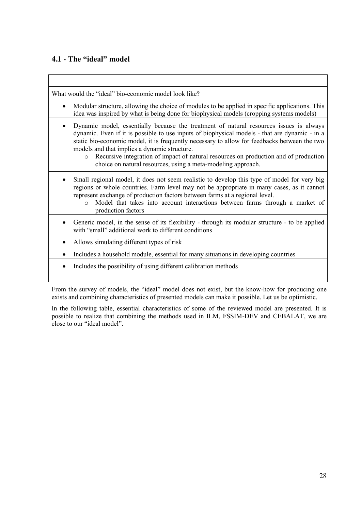## **4.1 - The "ideal" model**

| What would the "ideal" bio-economic model look like?                                                                                                                                                                                                                                                                                                                                                                                                                                                                    |
|-------------------------------------------------------------------------------------------------------------------------------------------------------------------------------------------------------------------------------------------------------------------------------------------------------------------------------------------------------------------------------------------------------------------------------------------------------------------------------------------------------------------------|
| Modular structure, allowing the choice of modules to be applied in specific applications. This<br>$\bullet$<br>idea was inspired by what is being done for biophysical models (cropping systems models)                                                                                                                                                                                                                                                                                                                 |
| Dynamic model, essentially because the treatment of natural resources issues is always<br>$\bullet$<br>dynamic. Even if it is possible to use inputs of biophysical models - that are dynamic - in a<br>static bio-economic model, it is frequently necessary to allow for feedbacks between the two<br>models and that implies a dynamic structure.<br>Recursive integration of impact of natural resources on production and of production<br>$\circ$<br>choice on natural resources, using a meta-modeling approach. |
| Small regional model, it does not seem realistic to develop this type of model for very big<br>regions or whole countries. Farm level may not be appropriate in many cases, as it cannot<br>represent exchange of production factors between farms at a regional level.<br>Model that takes into account interactions between farms through a market of<br>$\Omega$<br>production factors                                                                                                                               |
| Generic model, in the sense of its flexibility - through its modular structure - to be applied<br>with "small" additional work to different conditions                                                                                                                                                                                                                                                                                                                                                                  |
| Allows simulating different types of risk                                                                                                                                                                                                                                                                                                                                                                                                                                                                               |
| Includes a household module, essential for many situations in developing countries                                                                                                                                                                                                                                                                                                                                                                                                                                      |
| Includes the possibility of using different calibration methods                                                                                                                                                                                                                                                                                                                                                                                                                                                         |
|                                                                                                                                                                                                                                                                                                                                                                                                                                                                                                                         |

From the survey of models, the "ideal" model does not exist, but the know-how for producing one exists and combining characteristics of presented models can make it possible. Let us be optimistic.

In the following table, essential characteristics of some of the reviewed model are presented. It is possible to realize that combining the methods used in ILM, FSSIM-DEV and CEBALAT, we are close to our "ideal model".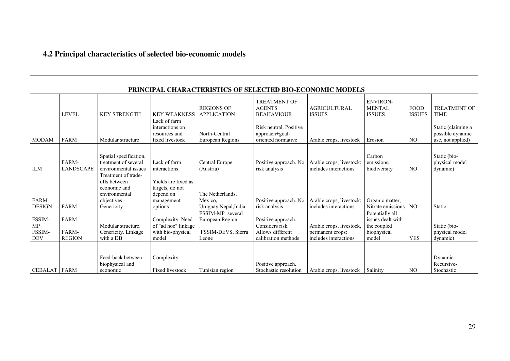# **4.2 Principal characteristics of selected bio-economic models**

| PRINCIPAL CHARACTERISTICS OF SELECTED BIO-ECONOMIC MODELS    |                                       |                                                                                                    |                                                                              |                                                                    |                                                                                  |                                                                       |                                                                             |                              |                                                             |  |  |
|--------------------------------------------------------------|---------------------------------------|----------------------------------------------------------------------------------------------------|------------------------------------------------------------------------------|--------------------------------------------------------------------|----------------------------------------------------------------------------------|-----------------------------------------------------------------------|-----------------------------------------------------------------------------|------------------------------|-------------------------------------------------------------|--|--|
|                                                              | <b>LEVEL</b>                          | <b>KEY STRENGTH</b>                                                                                | <b>KEY WEAKNESS</b>                                                          | <b>REGIONS OF</b><br><b>APPLICATION</b>                            | <b>TREATMENT OF</b><br><b>AGENTS</b><br><b>BEAHAVIOUR</b>                        | <b>AGRICULTURAL</b><br><b>ISSUES</b>                                  | <b>ENVIRON-</b><br><b>MENTAL</b><br><b>ISSUES</b>                           | <b>FOOD</b><br><b>ISSUES</b> | <b>TREATMENT OF</b><br><b>TIME</b>                          |  |  |
| <b>MODAM</b>                                                 | <b>FARM</b>                           | Modular structure                                                                                  | Lack of farm<br>interactions on<br>resources and<br>fixed livestock          | North-Central<br>European Regions                                  | Risk neutral, Positive<br>approach+goal-<br>oriented normative                   | Arable crops, livestock                                               | Erosion                                                                     | N <sub>O</sub>               | Static (claiming a<br>possible dynamic<br>use, not applied) |  |  |
| <b>ILM</b>                                                   | FARM-<br><b>LANDSCAPE</b>             | Spatial specification,<br>treatment of several<br>environmental issues                             | Lack of farm<br>interactions                                                 | Central Europe<br>(Austria)                                        | Positive approach. No<br>risk analysis                                           | Arable crops, livestock:<br>includes interactions                     | Carbon<br>emissions,<br>biodiversity                                        | N <sub>O</sub>               | Static (bio-<br>physical model<br>dynamic)                  |  |  |
| <b>FARM</b><br><b>DESIGN</b>                                 | <b>FARM</b>                           | Treatment of trade-<br>offs between<br>economic and<br>environmental<br>objectives -<br>Genericity | Yields are fixed as<br>targets, do not<br>depend on<br>management<br>options | The Netherlands.<br>Mexico,<br>Uruguay, Nepal, India               | Positive approach. No<br>risk analysis                                           | Arable crops, livestock:<br>includes interactions                     | Organic matter,<br>Nitrate emissions                                        | N <sub>O</sub>               | Static                                                      |  |  |
| FSSIM-<br><b>MP</b><br>FSSIM-<br>$\ensuremath{\mathsf{DEV}}$ | <b>FARM</b><br>FARM-<br><b>REGION</b> | Modular structure.<br>Genericity. Linkage<br>with a DB                                             | Complexity. Need<br>of "ad hoc" linkage<br>with bio-physical<br>model        | FSSIM-MP several<br>European Region<br>FSSIM-DEVS, Sierra<br>Leone | Positive approach.<br>Considers risk.<br>Allows different<br>calibration methods | Arable crops, livestock,<br>permanent crops:<br>includes interactions | Potentially all<br>issues dealt with<br>the coupled<br>biophysical<br>model | <b>YES</b>                   | Static (bio-<br>physical model<br>dynamic)                  |  |  |
| <b>CEBALAT FARM</b>                                          |                                       | Feed-back between<br>biophysical and<br>economic                                                   | Complexity<br><b>Fixed livestock</b>                                         | Tunisian region                                                    | Positive approach.<br>Stochastic resolution                                      | Arable crops, livestock Salinity                                      |                                                                             | N <sub>O</sub>               | Dynamic-<br>Recursive-<br>Stochastic                        |  |  |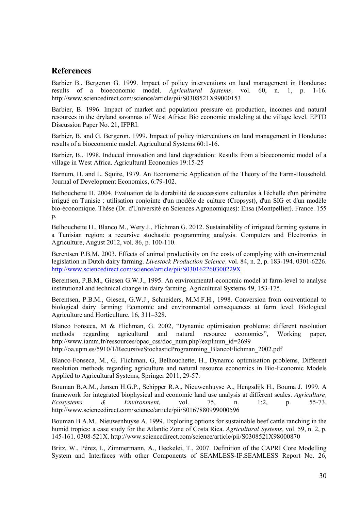## **References**

Barbier B., Bergeron G. 1999. Impact of policy interventions on land management in Honduras: results of a bioeconomic model. *Agricultural Systems,* vol. 60, n. 1, p. 1-16. http://www.sciencedirect.com/science/article/pii/S0308521X99000153

Barbier, B. 1996. Impact of market and population pressure on production, incomes and natural resources in the dryland savannas of West Africa: Bio economic modeling at the village level. EPTD Discussion Paper No. 21, IFPRI.

Barbier, B. and G. Bergeron. 1999. Impact of policy interventions on land management in Honduras: results of a bioeconomic model. Agricultural Systems 60:1-16.

Barbier, B.. 1998. Induced innovation and land degradation: Results from a bioeconomic model of a village in West Africa. Agricultural Economics 19:15-25

Barnum, H. and L. Squire, 1979. An Econometric Application of the Theory of the Farm-Household. Journal of Development Economics, 6:79-102.

Belhouchette H. 2004. Evaluation de la durabilité de successions culturales à l'échelle d'un périmètre irrigué en Tunisie : utilisation conjointe d'un modèle de culture (Cropsyst), d'un SIG et d'un modèle bio-économique. Thèse (Dr. d'Université en Sciences Agronomiques): Ensa (Montpellier). France. 155 p.

Belhouchette H., Blanco M., Wery J., Flichman G. 2012. Sustainability of irrigated farming systems in a Tunisian region: a recursive stochastic programming analysis. Computers and Electronics in Agriculture, August 2012, vol. 86, p. 100-110.

Berentsen P.B.M. 2003. Effects of animal productivity on the costs of complying with environmental legislation in Dutch dairy farming. *Livestock Production Science,* vol. 84, n. 2, p. 183-194. 0301-6226. <http://www.sciencedirect.com/science/article/pii/S030162260300229X>

Berentsen, P.B.M., Giesen G.W.J., 1995. An environmental-economic model at farm-level to analyse institutional and technical change in dairy farming. Agricultural Systems 49, 153-175.

Berentsen, P.B.M., Giesen, G.W.J., Schneiders, M.M.F.H., 1998. Conversion from conventional to biological dairy farming: Economic and environmental consequences at farm level. Biological Agriculture and Horticulture. 16, 311–328.

Blanco Fonseca, M & Flichman, G. 2002, "Dynamic optimisation problems: different resolution methods regarding agricultural and natural resource economics", Working paper, http://www.iamm.fr/ressources/opac\_css/doc\_num.php?explnum\_id=2699

http://oa.upm.es/5910/1/RecursiveStochasticProgramming\_BlancoFlichman\_2002.pdf

Blanco-Fonseca, M., G. Flichman, G, Belhouchette, H., Dynamic optimisation problems, Different resolution methods regarding agriculture and natural resource economics in Bio-Economic Models Applied to Agricultural Systems, Springer 2011, 29-57.

Bouman B.A.M., Jansen H.G.P., Schipper R.A., Nieuwenhuyse A., Hengsdijk H., Bouma J. 1999. A framework for integrated biophysical and economic land use analysis at different scales. *Agriculture, Ecosystems & Environment,* vol. 75, n. 1:2, p. 55-73. http://www.sciencedirect.com/science/article/pii/S0167880999000596

Bouman B.A.M., Nieuwenhuyse A. 1999. Exploring options for sustainable beef cattle ranching in the humid tropics: a case study for the Atlantic Zone of Costa Rica. *Agricultural Systems,* vol. 59, n. 2, p. 145-161. 0308-521X. http://www.sciencedirect.com/science/article/pii/S0308521X98000870

Britz, W., Pérez, I., Zimmermann, A., Heckelei, T., 2007. Definition of the CAPRI Core Modelling System and Interfaces with other Components of SEAMLESS-IF.SEAMLESS Report No. 26,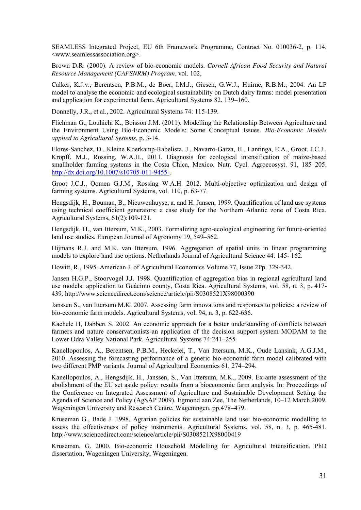SEAMLESS Integrated Project, EU 6th Framework Programme, Contract No. 010036-2, p. 114. <www.seamlessassociation.org>.

Brown D.R. (2000). A review of bio-economic models. *Cornell African Food Security and Natural Resource Management (CAFSNRM) Program,* vol. 102,

Calker, K.J.v., Berentsen, P.B.M., de Boer, I.M.J., Giesen, G.W.J., Huirne, R.B.M., 2004. An LP model to analyse the economic and ecological sustainability on Dutch dairy farms: model presentation and application for experimental farm. Agricultural Systems 82, 139–160.

Donnelly, J.R., et al., 2002. Agricultural Systems 74: 115-139.

Flichman G., Louhichi K., Boisson J.M. (2011). Modelling the Relationship Between Agriculture and the Environment Using Bio-Economic Models: Some Conceptual Issues. *Bio-Economic Models applied to Agricultural Systems,* p. 3-14.

Flores-Sanchez, D., Kleine Koerkamp-Rabelista, J., Navarro-Garza, H., Lantinga, E.A., Groot, J.C.J., Kropff, M.J., Rossing, W.A.H., 2011. Diagnosis for ecological intensification of maize-based smallholder farming systems in the Costa Chica, Mexico. Nutr. Cycl. Agroecosyst. 91, 185–205. [http://dx.doi.org/10.1007/s10705-011-9455-.](http://dx.doi.org/10.1007/s10705-011-9455-)

Groot J.C.J., Oomen G.J.M., Rossing W.A.H. 2012. Multi-objective optimization and design of farming systems. Agricultural Systems, vol. 110, p. 63-77.

Hengsdijk, H., Bouman, B., Nieuwenhuyse, a. and H. Jansen, 1999. Quantification of land use systems using technical coefficient generators: a case study for the Northern Atlantic zone of Costa Rica. Agricultural Systems, 61(2):109-121.

Hengsdijk, H., van Ittersum, M.K., 2003. Formalizing agro-ecological engineering for future-oriented land use studies. European Journal of Agronomy 19, 549–562.

Hijmans R.J. and M.K. van Ittersum, 1996. Aggregation of spatial units in linear programming models to explore land use options. Netherlands Journal of Agricultural Science 44: 145- 162.

Howitt, R., 1995. American J. of Agricultural Economics Volume 77, Issue 2Pp. 329-342.

Jansen H.G.P., Stoorvogel J.J. 1998. Quantification of aggregation bias in regional agricultural land use models: application to Guácimo county, Costa Rica. Agricultural Systems, vol. 58, n. 3, p. 417- 439. http://www.sciencedirect.com/science/article/pii/S0308521X98000390

Janssen S., van Ittersum M.K. 2007. Assessing farm innovations and responses to policies: a review of bio-economic farm models. Agricultural Systems, vol. 94, n. 3, p. 622-636.

Kachele H, Dabbert S. 2002. An economic approach for a better understanding of conflicts between farmers and nature conservationists-an application of the decision support system MODAM to the Lower Odra Valley National Park. Agricultural Systems 74:241–255

Kanellopoulos, A., Berentsen, P.B.M., Heckelei, T., Van Ittersum, M.K., Oude Lansink, A.G.J.M., 2010. Assessing the forecasting performance of a generic bio-economic farm model calibrated with two different PMP variants. Journal of Agricultural Economics 61, 274–294.

Kanellopoulos, A., Hengsdijk, H., Janssen, S., Van Ittersum, M.K., 2009. Ex-ante assessment of the abolishment of the EU set aside policy: results from a bioeconomic farm analysis. In: Proceedings of the Conference on Integrated Assessment of Agriculture and Sustainable Development Setting the Agenda of Science and Policy (AgSAP 2009). Egmond aan Zee, The Netherlands, 10–12 March 2009. Wageningen University and Research Centre, Wageningen, pp.478–479.

Kruseman G., Bade J. 1998. Agrarian policies for sustainable land use: bio-economic modelling to assess the effectiveness of policy instruments. Agricultural Systems, vol. 58, n. 3, p. 465-481. http://www.sciencedirect.com/science/article/pii/S0308521X98000419

Kruseman, G. 2000. Bio-economic Household Modelling for Agricultural Intensification. PhD dissertation, Wageningen University, Wageningen.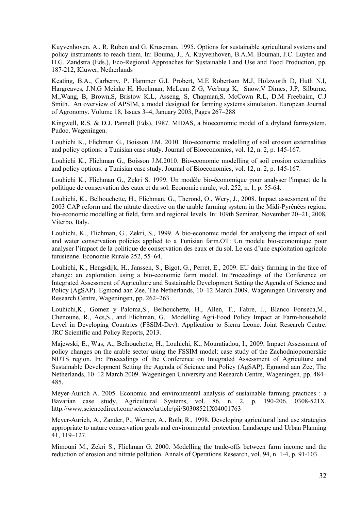Kuyvenhoven, A., R. Ruben and G. Kruseman. 1995. Options for sustainable agricultural systems and policy instruments to reach them. In: Bouma, J., A. Kuyvenhoven, B.A.M. Bouman, J.C. Luyten and H.G. Zandstra (Eds.), Eco-Regional Approaches for Sustainable Land Use and Food Production, pp. 187-212, Kluwer, Netherlands

Keating, B.A., Carberry, P. Hammer G.L Probert, M.E Robertson M.J, Holzworth D, Huth N.I, Hargreaves, J.N.G Meinke H, Hochman, McLean Z G, Verburg K, Snow,V Dimes, J.P, Silburne, M.,Wang, B, Brown,S, Bristow K.L, Asseng, S, Chapman,S, McCown R.L, D.M Freebairn, C.J Smith. An overview of APSIM, a model designed for farming systems simulation. European Journal of Agronomy. Volume 18, Issues 3–4, January 2003, Pages 267–288

Kingwell, R.S. & D.J. Pannell (Eds), 1987. MIDAS, a bioeconomic model of a dryland farmsystem. Pudoc, Wageningen.

Louhichi K., Flichman G., Boisson J.M. 2010. Bio-economic modelling of soil erosion externalities and policy options: a Tunisian case study. Journal of Bioeconomics, vol. 12, n. 2, p. 145-167.

Louhichi K., Flichman G., Boisson J.M.2010. Bio-economic modelling of soil erosion externalities and policy options: a Tunisian case study. Journal of Bioeconomics, vol. 12, n. 2, p. 145-167.

Louhichi K., Flichman G., Zekri S. 1999. Un modèle bio-économique pour analyser l'impact de la politique de conservation des eaux et du sol. Economie rurale, vol. 252, n. 1, p. 55-64.

Louhichi, K., Belhouchette, H., Flichman, G., Therond, O., Wery, J., 2008. Impact assessment of the 2003 CAP reform and the nitrate directive on the arable farming system in the Midi-Pyrénées region: bio-economic modelling at field, farm and regional levels. In: 109th Seminar, November 20–21, 2008, Viterbo, Italy.

Louhichi, K., Flichman, G., Zekri, S., 1999. A bio-economic model for analysing the impact of soil and water conservation policies applied to a Tunisian farm.OT: Un modele bio-economique pour analyser l'impact de la politique de conservation des eaux et du sol. Le cas d'une exploitation agricole tunisienne. Economie Rurale 252, 55–64.

Louhichi, K., Hengsdijk, H., Janssen, S., Bigot, G., Perret, E., 2009. EU dairy farming in the face of change: an exploration using a bio-economic farm model. In:Proceedings of the Conference on Integrated Assessment of Agriculture and Sustainable Development Setting the Agenda of Science and Policy (AgSAP). Egmond aan Zee, The Netherlands, 10–12 March 2009. Wageningen University and Research Centre, Wageningen, pp. 262–263.

Louhichi,K., Gomez y Paloma,S., Belhouchette, H., Allen, T., Fabre, J., Blanco Fonseca,M., Chenoune, R., Acs,S., and Flichman, G. Modelling Agri-Food Policy Impact at Farm-household Level in Developing Countries (FSSIM-Dev). Application to Sierra Leone. Joint Research Centre. JRC Scientific and Policy Reports, 2013.

Majewski, E., Was, A., Belhouchette, H., Louhichi, K., Mouratiadou, I., 2009. Impact Assessment of policy changes on the arable sector using the FSSIM model: case study of the Zachodniopomorskie NUTS region. In: Proceedings of the Conference on Integrated Assessment of Agriculture and Sustainable Development Setting the Agenda of Science and Policy (AgSAP). Egmond aan Zee, The Netherlands, 10–12 March 2009. Wageningen University and Research Centre, Wageningen, pp. 484– 485.

Meyer-Aurich A. 2005. Economic and environmental analysis of sustainable farming practices : a Bavarian case study. Agricultural Systems, vol. 86, n. 2, p. 190-206. 0308-521X. http://www.sciencedirect.com/science/article/pii/S0308521X04001763

Meyer-Aurich, A., Zander, P., Werner, A., Roth, R., 1998. Developing agricultural land use strategies appropriate to nature conservation goals and environmental protection. Landscape and Urban Planning 41, 119–127.

Mimouni M., Zekri S., Flichman G. 2000. Modelling the trade-offs between farm income and the reduction of erosion and nitrate pollution. Annals of Operations Research, vol. 94, n. 1-4, p. 91-103.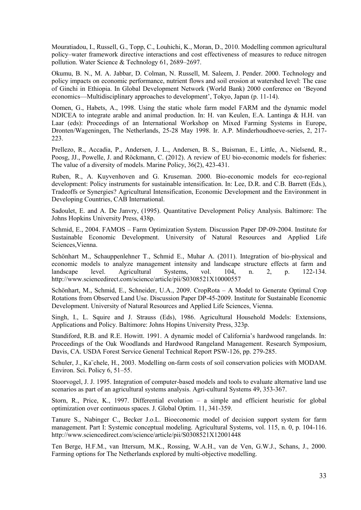Mouratiadou, I., Russell, G., Topp, C., Louhichi, K., Moran, D., 2010. Modelling common agricultural policy–water framework directive interactions and cost effectiveness of measures to reduce nitrogen pollution. Water Science & Technology 61, 2689–2697.

Okumu, B. N., M. A. Jabbar, D. Colman, N. Russell, M. Saleem, J. Pender. 2000. Technology and policy impacts on economic performance, nutrient flows and soil erosion at watershed level: The case of Ginchi in Ethiopia. In Global Development Network (World Bank) 2000 conference on 'Beyond economics—Multidisciplinary approaches to development', Tokyo, Japan (p. 11-14).

Oomen, G., Habets, A., 1998. Using the static whole farm model FARM and the dynamic model NDICEA to integrate arable and animal production. In: H. van Keulen, E.A. Lantinga & H.H. van Laar (eds): Proceedings of an International Workshop on Mixed Farming Systems in Europe, Dronten/Wageningen, The Netherlands, 25-28 May 1998. Ir. A.P. Minderhoudhoeve-series, 2, 217- 223.

Prellezo, R., Accadia, P., Andersen, J. L., Andersen, B. S., Buisman, E., Little, A., Nielsend, R., Poosg, JJ., Powelle, J. and Röckmann, C. (2012). A review of EU bio-economic models for fisheries: The value of a diversity of models. Marine Policy, 36(2), 423-431.

Ruben, R., A. Kuyvenhoven and G. Kruseman. 2000. Bio-economic models for eco-regional development: Policy instruments for sustainable intensification. In: Lee, D.R. and C.B. Barrett (Eds.), Tradeoffs or Synergies? Agricultural Intensification, Economic Development and the Environment in Developing Countries, CAB International.

Sadoulet, E. and A. De Janvry, (1995). Quantitative Development Policy Analysis. Baltimore: The Johns Hopkins University Press, 438p.

Schmid, E., 2004. FAMOS – Farm Optimization System. Discussion Paper DP-09-2004. Institute for Sustainable Economic Development. University of Natural Resources and Applied Life Sciences,Vienna.

Schönhart M., Schauppenlehner T., Schmid E., Muhar A. (2011). Integration of bio-physical and economic models to analyze management intensity and landscape structure effects at farm and landscape level. Agricultural Systems, vol. 104, n. 2, p. 122-134. http://www.sciencedirect.com/science/article/pii/S0308521X10000557

Schönhart, M., Schmid, E., Schneider, U.A., 2009. CropRota – A Model to Generate Optimal Crop Rotations from Observed Land Use. Discussion Paper DP-45-2009. Institute for Sustainable Economic Development. University of Natural Resources and Applied Life Sciences, Vienna.

Singh, I., L. Squire and J. Strauss (Eds), 1986. Agricultural Household Models: Extensions, Applications and Policy. Baltimore: Johns Hopins University Press, 323p.

Standiford, R.B. and R.E. Howitt. 1991. A dynamic model of California's hardwood rangelands. In: Proceedings of the Oak Woodlands and Hardwood Rangeland Management. Research Symposium, Davis, CA. USDA Forest Service General Technical Report PSW-126, pp. 279-285.

Schuler, J., Ka¨chele, H., 2003. Modelling on-farm costs of soil conservation policies with MODAM. Environ. Sci. Policy 6, 51–55.

Stoorvogel, J. J. 1995. Integration of computer-based models and tools to evaluate alternative land use scenarios as part of an agricultural systems analysis. Agri-cultural Systems 49, 353-367.

Storn, R., Price, K., 1997. Differential evolution – a simple and efficient heuristic for global optimization over continuous spaces. J. Global Optim. 11, 341-359.

Tanure S., Nabinger C., Becker J.o.L. Bioeconomic model of decision support system for farm management. Part I: Systemic conceptual modeling. Agricultural Systems, vol. 115, n. 0, p. 104-116. http://www.sciencedirect.com/science/article/pii/S0308521X12001448

Ten Berge, H.F.M., van Ittersum, M.K., Rossing, W.A.H., van de Ven, G.W.J., Schans, J., 2000. Farming options for The Netherlands explored by multi-objective modelling.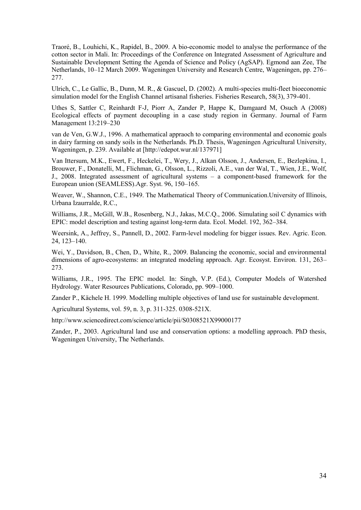Traoré, B., Louhichi, K., Rapidel, B., 2009. A bio-economic model to analyse the performance of the cotton sector in Mali. In: Proceedings of the Conference on Integrated Assessment of Agriculture and Sustainable Development Setting the Agenda of Science and Policy (AgSAP). Egmond aan Zee, The Netherlands, 10–12 March 2009. Wageningen University and Research Centre, Wageningen, pp. 276– 277.

Ulrich, C., Le Gallic, B., Dunn, M. R., & Gascuel, D. (2002). A multi-species multi-fleet bioeconomic simulation model for the English Channel artisanal fisheries. Fisheries Research, 58(3), 379-401.

Uthes S, Sattler C, Reinhardt F-J, Piorr A, Zander P, Happe K, Damgaard M, Osuch A (2008) Ecological effects of payment decoupling in a case study region in Germany. Journal of Farm Management 13:219–230

van de Ven, G.W.J., 1996. A mathematical appraoch to comparing environmental and economic goals in dairy farming on sandy soils in the Netherlands. Ph.D. Thesis, Wageningen Agricultural University, Wageningen, p. 239. Available at [\[http://edepot.wur.nl/137971\]](http://edepot.wur.nl/137971)

Van Ittersum, M.K., Ewert, F., Heckelei, T., Wery, J., Alkan Olsson, J., Andersen, E., Bezlepkina, I., Brouwer, F., Donatelli, M., Flichman, G., Olsson, L., Rizzoli, A.E., van der Wal, T., Wien, J.E., Wolf, J., 2008. Integrated assessment of agricultural systems – a component-based framework for the European union (SEAMLESS).Agr. Syst. 96, 150–165.

Weaver, W., Shannon, C.E., 1949. The Mathematical Theory of Communication.University of Illinois, Urbana Izaurralde, R.C.,

Williams, J.R., McGill, W.B., Rosenberg, N.J., Jakas, M.C.Q., 2006. Simulating soil C dynamics with EPIC: model description and testing against long-term data. Ecol. Model. 192, 362–384.

Weersink, A., Jeffrey, S., Pannell, D., 2002. Farm-level modeling for bigger issues. Rev. Agric. Econ. 24, 123–140.

Wei, Y., Davidson, B., Chen, D., White, R., 2009. Balancing the economic, social and environmental dimensions of agro-ecosystems: an integrated modeling approach. Agr. Ecosyst. Environ. 131, 263– 273.

Williams, J.R., 1995. The EPIC model. In: Singh, V.P. (Ed.), Computer Models of Watershed Hydrology. Water Resources Publications, Colorado, pp. 909–1000.

Zander P., Kächele H. 1999. Modelling multiple objectives of land use for sustainable development.

Agricultural Systems, vol. 59, n. 3, p. 311-325. 0308-521X.

<http://www.sciencedirect.com/science/article/pii/S0308521X99000177>

Zander, P., 2003. Agricultural land use and conservation options: a modelling approach. PhD thesis, Wageningen University, The Netherlands.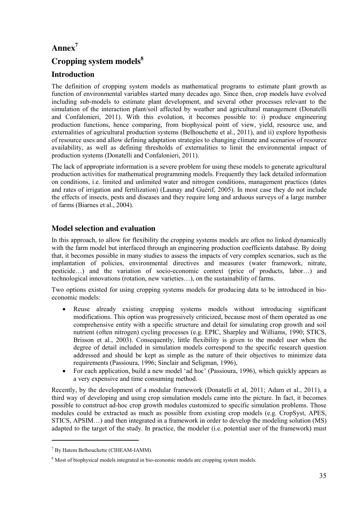# **Annex7**

# **Cropping system models8**

## **Introduction**

The definition of cropping system models as mathematical programs to estimate plant growth as function of environmental variables started many decades ago. Since then, crop models have evolved including sub-models to estimate plant development, and several other processes relevant to the simulation of the interaction plant/soil affected by weather and agricultural management (Donatelli and Confalonieri, 2011). With this evolution, it becomes possible to: i) produce engineering production functions, hence comparing, from biophysical point of view, yield, resource use, and externalities of agricultural production systems (Belhouchette et al., 2011), and ii) explore hypothesis of resource uses and allow defining adaptation strategies to changing climate and scenarios of resource availability, as well as defining thresholds of externalities to limit the environmental impact of production systems (Donatelli and Confalonieri, 2011).

The lack of appropriate information is a severe problem for using these models to generate agricultural production activities for mathematical programming models. Frequently they lack detailed information on conditions, i.e. limited and unlimited water and nitrogen conditions, management practices (dates and rates of irrigation and fertilization) (Launay and Guérif, 2005). In most case they do not include the effects of insects, pests and diseases and they require long and arduous surveys of a large number of farms (Biarnes et al., 2004).

## **Model selection and evaluation**

In this approach, to allow for flexibility the cropping systems models are often no linked dynamically with the farm model but interfaced through an engineering production coefficients database. By doing that, it becomes possible in many studies to assess the impacts of very complex scenarios, such as the implantation of policies, environmental directives and measures (water framework, nitrate, pesticide…) and the variation of socio-economic context (price of products, labor…) and technological innovations (rotation, new varieties…), on the sustainability of farms.

Two options existed for using cropping systems models for producing data to be introduced in bioeconomic models:

- Reuse already existing cropping systems models without introducing significant modifications. This option was progressively criticized, because most of them operated as one comprehensive entity with a specific structure and detail for simulating crop growth and soil nutrient (often nitrogen) cycling processes (e.g. EPIC, Sharpley and Williams, 1990; STICS, Brisson et al., 2003). Consequently, little flexibility is given to the model user when the degree of detail included in simulation models correspond to the specific research question addressed and should be kept as simple as the nature of their objectives to minimize data requirements (Passioura, 1996; Sinclair and Seligman, 1996),
- For each application, build a new model 'ad hoc' (Passioura, 1996), which quickly appears as a very expensive and time consuming method.

Recently, by the development of a modular framework (Donatelli et al, 2011; Adam et al., 2011), a third way of developing and using crop simulation models came into the picture. In fact, it becomes possible to construct ad-hoc crop growth modules customized to specific simulation problems. Those modules could be extracted as much as possible from existing crop models (e.g. CropSyst, APES, STICS, APSIM…) and then integrated in a framework in order to develop the modeling solution (MS) adapted to the target of the study. In practice, the modeler (i.e. potential user of the framework) must

1

<sup>7</sup> By Hatem Belhouchette (CIHEAM-IAMM).

<sup>&</sup>lt;sup>8</sup> Most of biophysical models integrated in bio-economic models are cropping system models.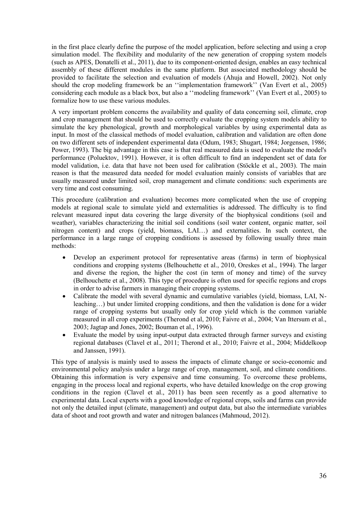in the first place clearly define the purpose of the model application, before selecting and using a crop simulation model. The flexibility and modularity of the new generation of cropping system models (such as APES, Donatelli et al., 2011), due to its component-oriented design, enables an easy technical assembly of these different modules in the same platform. But associated methodology should be provided to facilitate the selection and evaluation of models (Ahuja and Howell, 2002). Not only should the crop modeling framework be an ''implementation framework'' (Van Evert et al., 2005) considering each module as a black box, but also a ''modeling framework'' (Van Evert et al., 2005) to formalize how to use these various modules.

A very important problem concerns the availability and quality of data concerning soil, climate, crop and crop management that should be used to correctly evaluate the cropping system models ability to simulate the key phenological, growth and morphological variables by using experimental data as input. In most of the classical methods of model evaluation, calibration and validation are often done on two different sets of independent experimental data (Odum, 1983; Shugart, 1984; Jorgensen, 1986; Power, 1993). The big advantage in this case is that real measured data is used to evaluate the model's performance (Poluektov, 1991). However, it is often difficult to find an independent set of data for model validation, i.e. data that have not been used for calibration (Stöckle et al., 2003). The main reason is that the measured data needed for model evaluation mainly consists of variables that are usually measured under limited soil, crop management and climate conditions: such experiments are very time and cost consuming.

This procedure (calibration and evaluation) becomes more complicated when the use of cropping models at regional scale to simulate yield and externalities is addressed. The difficulty is to find relevant measured input data covering the large diversity of the biophysical conditions (soil and weather), variables characterizing the initial soil conditions (soil water content, organic matter, soil nitrogen content) and crops (yield, biomass, LAI…) and externalities. In such context, the performance in a large range of cropping conditions is assessed by following usually three main methods:

- Develop an experiment protocol for representative areas (farms) in term of biophysical conditions and cropping systems (Belhouchette et al., 2010, Oreskes et al., 1994). The larger and diverse the region, the higher the cost (in term of money and time) of the survey (Belhouchette et al., 2008). This type of procedure is often used for specific regions and crops in order to advise farmers in managing their cropping systems.
- Calibrate the model with several dynamic and cumulative variables (yield, biomass, LAI, Nleaching…) but under limited cropping conditions, and then the validation is done for a wider range of cropping systems but usually only for crop yield which is the common variable measured in all crop experiments (Therond et al, 2010; Faivre et al., 2004; Van Ittersum et al., 2003; Jagtap and Jones, 2002; Bouman et al., 1996).
- Evaluate the model by using input-output data extracted through farmer surveys and existing regional databases (Clavel et al., 2011; Therond et al., 2010; Faivre et al., 2004; Middelkoop and Janssen, 1991).

This type of analysis is mainly used to assess the impacts of climate change or socio-economic and environmental policy analysis under a large range of crop, management, soil, and climate conditions. Obtaining this information is very expensive and time consuming. To overcome these problems, engaging in the process local and regional experts, who have detailed knowledge on the crop growing conditions in the region (Clavel et al., 2011) has been seen recently as a good alternative to experimental data. Local experts with a good knowledge of regional crops, soils and farms can provide not only the detailed input (climate, management) and output data, but also the intermediate variables data of shoot and root growth and water and nitrogen balances (Mahmoud, 2012).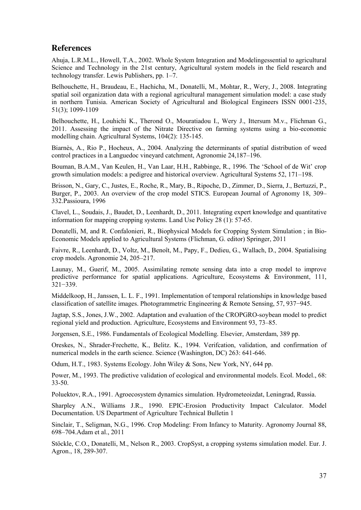## **References**

Ahuja, L.R.M.L., Howell, T.A., 2002. Whole System Integration and Modelingessential to agricultural Science and Technology in the 21st century, Agricultural system models in the field research and technology transfer. Lewis Publishers, pp. 1–7.

Belhouchette, H., Braudeau, E., Hachicha, M., Donatelli, M., Mohtar, R., Wery, J., 2008. Integrating spatial soil organization data with a regional agricultural management simulation model: a case study in northern Tunisia. American Society of Agricultural and Biological Engineers ISSN 0001-235, 51(3); 1099-1109

Belhouchette, H., Louhichi K., Therond O., Mouratiadou I., Wery J., Ittersum M.v., Flichman G., 2011. Assessing the impact of the Nitrate Directive on farming systems using a bio-economic modelling chain. Agricultural Systems, 104(2): 135-145.

Biarnès, A., Rio P., Hocheux, A., 2004. Analyzing the determinants of spatial distribution of weed control practices in a Languedoc vineyard catchment, Agronomie 24,187–196.

Bouman, B.A.M., Van Keulen, H., Van Laar, H.H., Rabbinge, R., 1996. The 'School of de Wit' crop growth simulation models: a pedigree and historical overview. Agricultural Systems 52, 171–198.

Brisson, N., Gary, C., Justes, E., Roche, R., Mary, B., Ripoche, D., Zimmer, D., Sierra, J., Bertuzzi, P., Burger, P., 2003. An overview of the crop model STICS. European Journal of Agronomy 18, 309– 332.Passioura, 1996

Clavel, L., Soudais, J., Baudet, D., Leenhardt, D., 2011. Integrating expert knowledge and quantitative information for mapping cropping systems. Land Use Policy 28 (1): 57-65.

Donatelli, M, and R. Confalonieri, R., Biophysical Models for Cropping System Simulation ; in Bio-Economic Models applied to Agricultural Systems (Flichman, G. editor) Springer, 2011

Faivre, R., Leenhardt, D., Voltz, M., Benoît, M., Papy, F., Dedieu, G., Wallach, D., 2004. Spatialising crop models. Agronomie 24, 205–217.

Launay, M., Guerif, M., 2005. Assimilating remote sensing data into a crop model to improve predictive performance for spatial applications. Agriculture, Ecosystems & Environment, 111, 321−339.

Middelkoop, H., Janssen, L. L. F., 1991. Implementation of temporal relationships in knowledge based classification of satellite images. Photogrammetric Engineering & Remote Sensing, 57, 937−945.

Jagtap, S.S., Jones, J.W., 2002. Adaptation and evaluation of the CROPGRO-soybean model to predict regional yield and production. Agriculture, Ecosystems and Environment 93, 73–85.

Jorgensen, S.E., 1986. Fundamentals of Ecological Modelling. Elsevier, Amsterdam, 389 pp.

Oreskes, N., Shrader-Frechette, K., Belitz. K., 1994. Verifcation, validation, and confirmation of numerical models in the earth science. Science (Washington, DC) 263: 641-646.

Odum, H.T., 1983. Systems Ecology. John Wiley & Sons, New York, NY, 644 pp.

Power, M., 1993. The predictive validation of ecological and environmental models. Ecol. Model., 68: 33-50.

Poluektov, R.A., 1991. Agroecosystem dynamics simulation. Hydrometeoizdat, Leningrad, Russia.

Sharpley A.N., Williams J.R., 1990. EPIC-Erosion Productivity Impact Calculator. Model Documentation. US Department of Agriculture Technical Bulletin 1

Sinclair, T., Seligman, N.G., 1996. Crop Modeling: From Infancy to Maturity. Agronomy Journal 88, 698–704.Adam et al., 2011

Stöckle, C.O., Donatelli, M., Nelson R., 2003. CropSyst, a cropping systems simulation model. Eur. J. Agron., 18, 289-307.